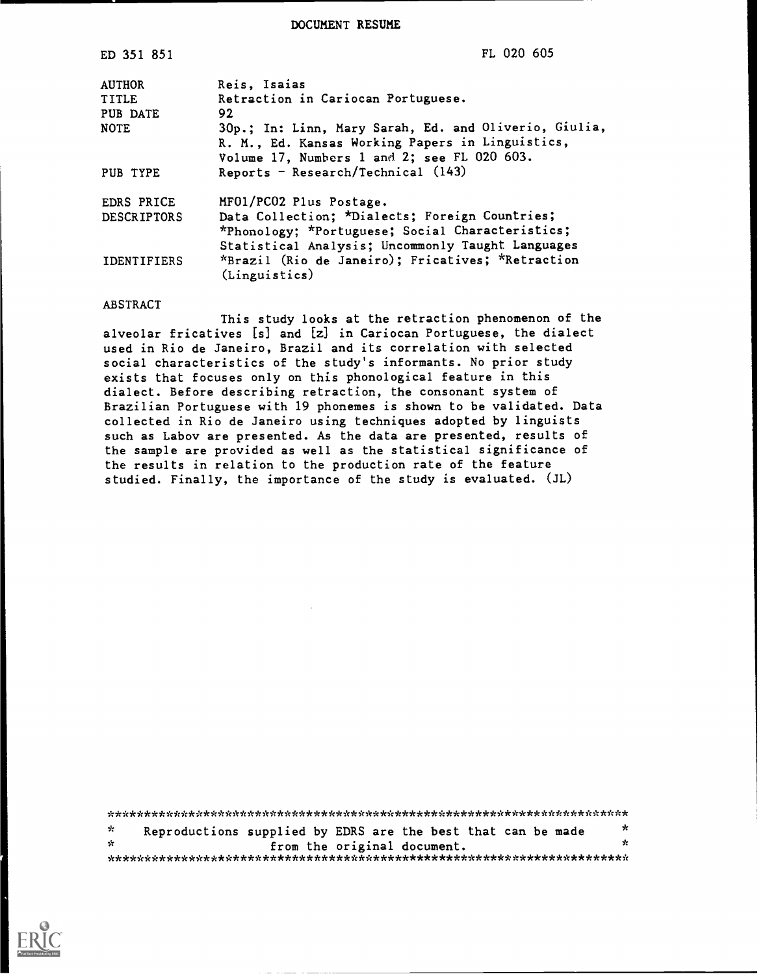DOCUMENT RESUME

| ED 351 851         | FL 020 605                                                                                                                                               |
|--------------------|----------------------------------------------------------------------------------------------------------------------------------------------------------|
| <b>AUTHOR</b>      | Reis, Isaias                                                                                                                                             |
| <b>TITLE</b>       | Retraction in Cariocan Portuguese.                                                                                                                       |
| PUB DATE           | 92                                                                                                                                                       |
| <b>NOTE</b>        | 30p.; In: Linn, Mary Sarah, Ed. and Oliverio, Giulia,<br>R. M., Ed. Kansas Working Papers in Linguistics,<br>Volume 17, Numbers 1 and 2; see FL 020 603. |
| PUB TYPE           | Reports - Research/Technical (143)                                                                                                                       |
| <b>EDRS PRICE</b>  | MF01/PC02 Plus Postage.                                                                                                                                  |
| <b>DESCRIPTORS</b> | Data Collection; *Dialects; Foreign Countries;                                                                                                           |
|                    | *Phonology; *Portuguese; Social Characteristics;                                                                                                         |
|                    | Statistical Analysis; Uncommonly Taught Languages                                                                                                        |
| <b>IDENTIFIERS</b> | *Brazil (Rio de Janeiro); Fricatives; *Retraction<br>(Linguistics)                                                                                       |

#### ABSTRACT

This study looks at the retraction phenomenon of the alveolar fricatives [s] and [z] in Cariocan Portuguese, the dialect used in Rio de Janeiro, Brazil and its correlation with selected social characteristics of the study's informants. No prior study exists that focuses only on this phonological feature in this dialect. Before describing retraction, the consonant system of Brazilian Portuguese with 19 phonemes is shown to be validated. Data collected in Rio de Janeiro using techniques adopted by linguists such as Labov are presented. As the data are presented, results of the sample are provided as well as the statistical significance of the results in relation to the production rate of the feature studied. Finally, the importance of the study is evaluated. (JL)

| ₹.  | Reproductions supplied by EDRS are the best that can be made |                             |  |  | $\star$ |
|-----|--------------------------------------------------------------|-----------------------------|--|--|---------|
| -St |                                                              | from the original document. |  |  | - -     |
|     |                                                              |                             |  |  |         |

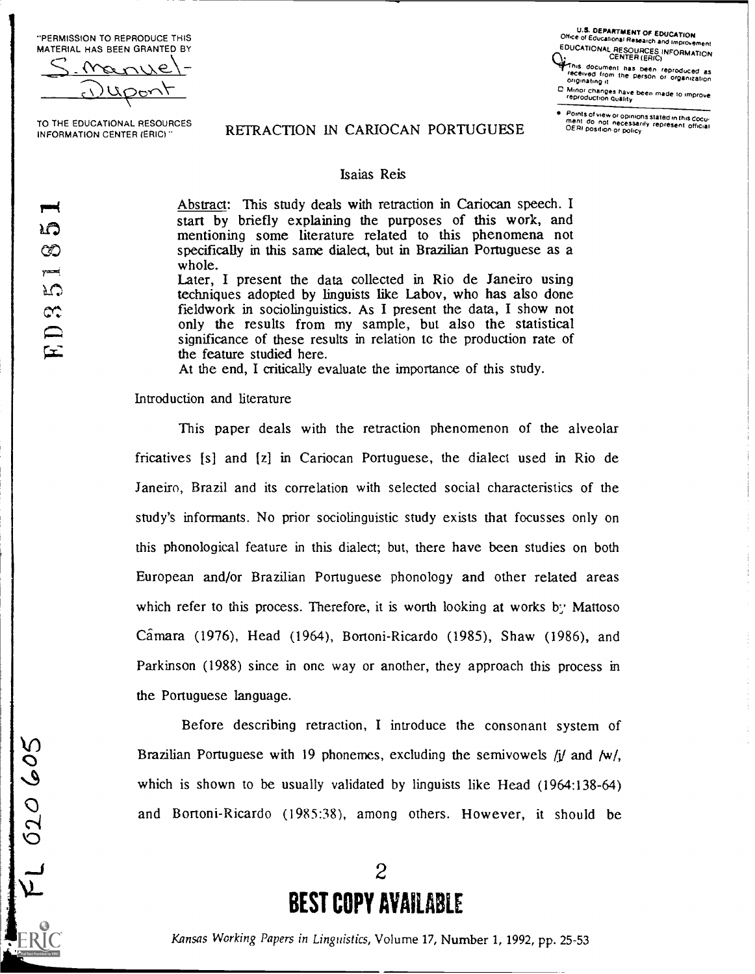"PERMISSION TO REPRODUCE THIS MATERIAL HAS BEEN GRANTED BY

<u>لىن د</u>

TO THE EDUCATIONAL RESOURCES INFORMATION CENTER (ERIC)"

U.S. DEPARTMENT OF EDUCATION<br>Office of Educational Research and Improvement<br>EDUCATIONAL RESOURCES INFORMATION<br>CENTER (ERIC)

This document has been reproduced as received from the person or organization of the person or organization

0 Minor changes have been made to improve<br>reproduction Quality

Points of view or opinions stated in this Cocu.<br>ment ido inot inecessarily represent official<br>OERI position or policy

## REFRACTION IN CARIOCAN PORTUGUESE

#### Isaias Reis

Abstract: This study deals with retraction in Cariocan speech. I start by briefly explaining the purposes of this work, and mentioning some literature related to this phenomena not specifically in this same dialect, but in Brazilian Portuguese as a whole.

Later, I present the data collected in Rio de Janeiro using techniques adopted by linguists like Labov, who has also done fieldwork in sociolinguistics. As I present the data, I show not only the results from my sample, but also the statistical significance of these results in relation to the production rate of the feature studied here.

At the end, I critically evaluate the importance of this study.

#### Introduction and literature

This paper deals with the retraction phenomenon of the alveolar fricatives [s] and [z] in Cariocan Portuguese, the dialect used in Rio de Janeiro, Brazil and its correlation with selected social characteristics of the study's informants. No prior sociolinguistic study exists that focusses only on this phonological feature in this dialect; but, there have been studies on both European and/or Brazilian Portuguese phonology and other related areas which refer to this process. Therefore, it is worth looking at works by Mattoso Camara (1976), Head (1964), Bortoni-Ricardo (1985), Shaw (1986), and Parkinson (1988) since in one way or another, they approach this process in the Portuguese language.

O<sup>Brazi</sup> 02 Before describing retraction, <sup>I</sup> introduce the consonant system of Brazilian Portuguese with 19 phonemes, excluding the semivowels  $i\ell$  and  $f(w)$ , which is shown to be usually validated by linguists like Head (1964:138-64) and Bortoni-Ricardo (1985:38), among others. However, it should be

# 2 BEST COPY AVAILABLE

Kansas Working Papers in Linguistics, Volume 17, Number 1, 1992, pp. 25-53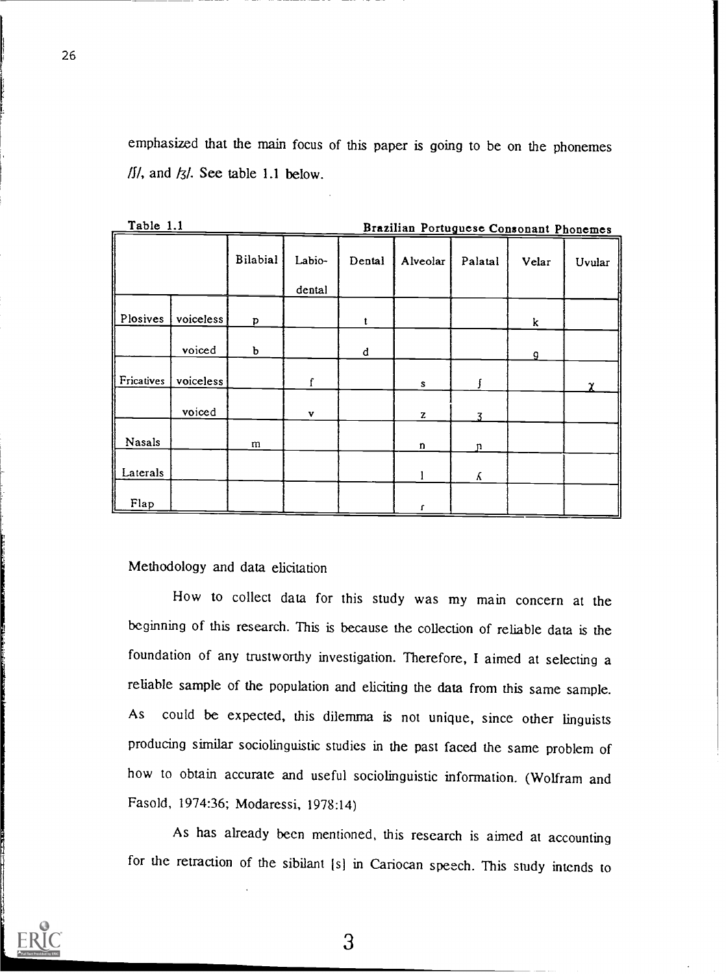emphasized that the main focus of this paper is going to be on the phonemes  $1/1$ , and  $1/3$ . See table 1.1 below.

|            | Table 1.1<br>Brazilian Portuguese Consonant Phonemes |                 |                  |        |             |         |       |        |
|------------|------------------------------------------------------|-----------------|------------------|--------|-------------|---------|-------|--------|
|            |                                                      | <b>Bilabial</b> | Labio-<br>dental | Dental | Alveolar    | Palatal | Velar | Uvular |
| Plosives   | voiceless                                            | p               |                  | t      |             |         | k     |        |
|            | voiced                                               | Ъ               |                  | d      |             |         | a     |        |
| Fricatives | voiceless                                            |                 | f                |        | s           |         |       | γ      |
|            | voiced                                               |                 | v                |        | z           |         |       |        |
| Nasals     |                                                      | m               |                  |        | $\mathbf n$ | n       |       |        |
| Laterals   |                                                      |                 |                  |        |             | K.      |       |        |
| Flap       |                                                      |                 |                  |        |             |         |       |        |

Methodology and data elicitation

How to collect data for this study was my main concern at the beginning of this research. This is because the collection of reliable data is the foundation of any trustworthy investigation. Therefore, I aimed at selecting a reliable sample of the population and eliciting the data from this same sample. As could be expected, this dilemma is not unique, since other linguists producing similar sociolinguistic studies in the past faced the same problem of how to obtain accurate and useful sociolinguistic information. (Wolfram and Fasold, 1974:36; Modaressi, 1978:14)

As has already been mentioned, this research is aimed at accounting for the retraction of the sibilant [s] in Cariocan speech. This study intends to



26

o.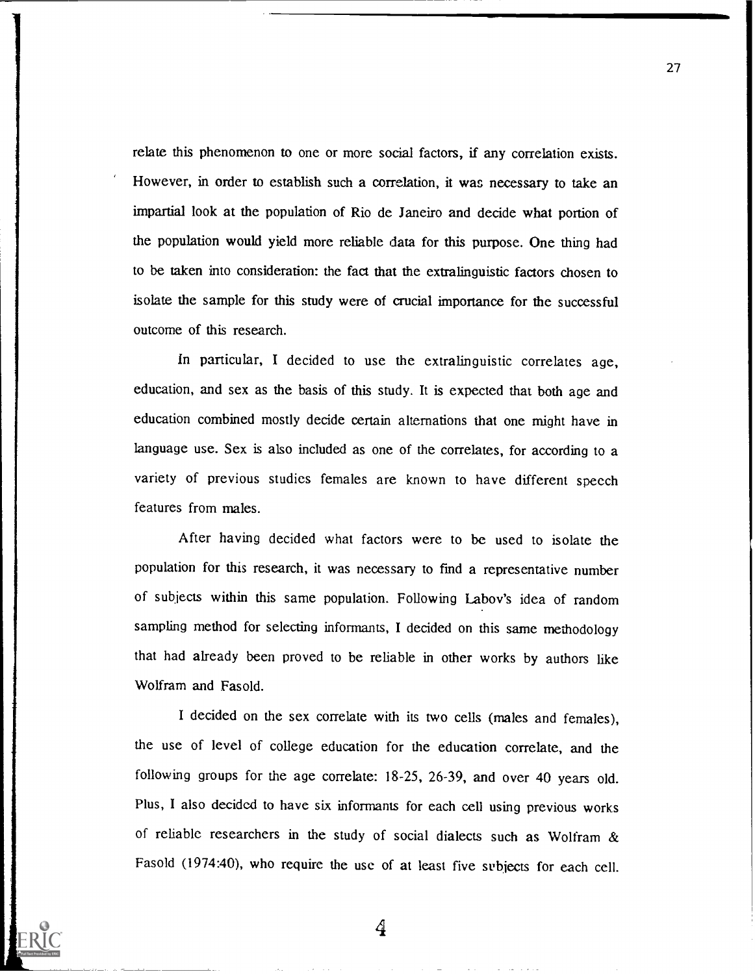relate this phenomenon to one or more social factors, if any correlation exists. However, in order to establish such a correlation, it was necessary to take an impartial look at the population of Rio de Janeiro and decide what portion of the population would yield more reliable data for this purpose. One thing had to be taken into consideration: the fact that the extralinguistic factors chosen to isolate the sample for this study were of crucial importance for the successful outcome of this research.

In particular, I decided to use the extralinguistic correlates age, education, and sex as the basis of this study. It is expected that both age and education combined mostly decide certain alternations that one might have in language use. Sex is also included as one of the correlates, for according to a variety of previous studies females are known to have different speech features from males.

After having decided what factors were to be used to isolate the population for this research, it was necessary to find a representative number of subjects within this same population. Following Labov's idea of random sampling method for selecting informants, I decided on this same methodology that had already been proved to be reliable in other works by authors like Wolfram and Fasold.

I decided on the sex correlate with its two cells (males and females), the use of level of college education for the education correlate, and the following groups for the age correlate: 18-25, 26-39, and over 40 years old. Plus, I also decided to have six informants for each cell using previous works of reliable researchers in the study of social dialects such as Wolfram & Fasold (1974:40), who require the use of at least five subjects for each cell.



4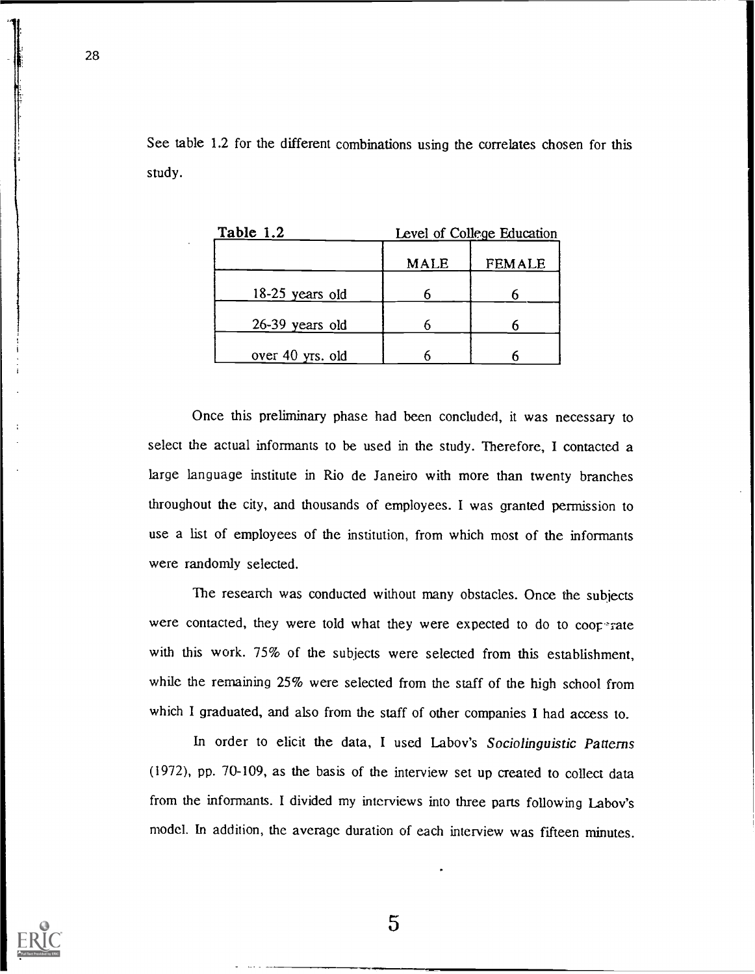See table 1.2 for the different combinations using the correlates chosen for this study.

| Table 1.2        | Level of College Education |               |  |  |
|------------------|----------------------------|---------------|--|--|
|                  | <b>MALE</b>                | <b>FEMALE</b> |  |  |
| 18-25 years old  |                            |               |  |  |
| 26-39 years old  |                            |               |  |  |
| over 40 yrs. old |                            |               |  |  |

Once this preliminary phase had been concluded, it was necessary to select the actual informants to be used in the study. Therefore, I contacted a large language institute in Rio de Janeiro with more than twenty branches throughout the city, and thousands of employees. I was granted permission to use a list of employees of the institution, from which most of the informants were randomly selected.

The research was conducted without many obstacles. Once the subjects were contacted, they were told what they were expected to do to  $coor$ <sup>-</sup>rate with this work. 75% of the subjects were selected from this establishment, while the remaining 25% were selected from the staff of the high school from which I graduated, and also from the staff of other companies I had access to.

In order to elicit the data, I used Labov's Sociolinguistic Patterns (1972), pp. 70-109, as the basis of the interview set up created to collect data from the informants. I divided my interviews into three parts following Labov's model. In addition, the average duration of each interview was fifteen minutes.



28

 $\overline{5}$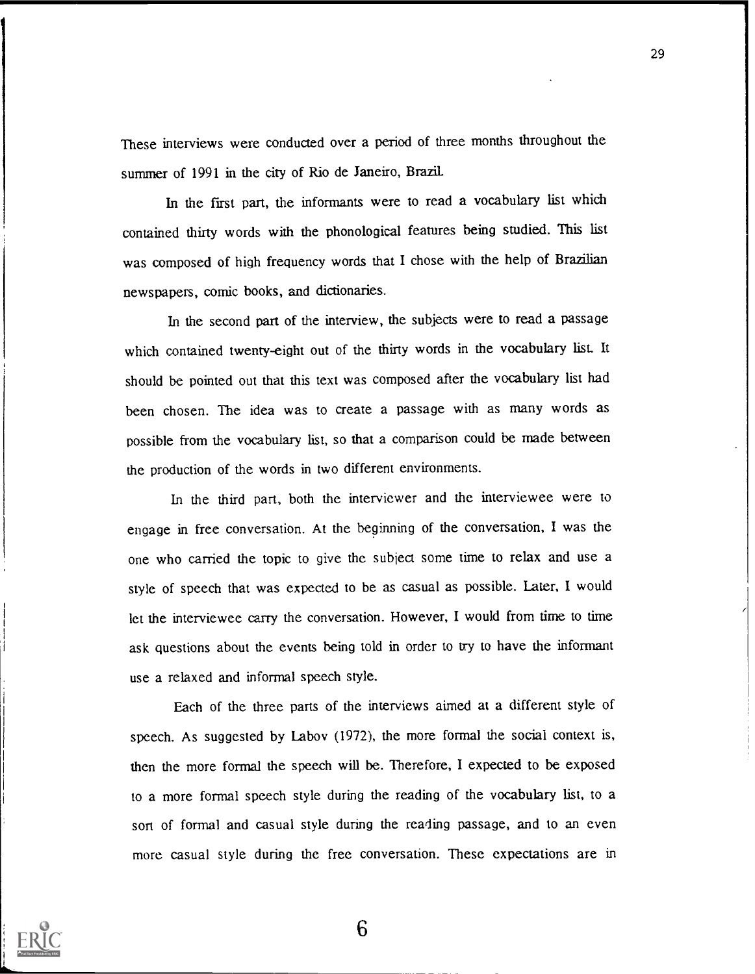These interviews were conducted over a period of three months throughout the summer of 1991 in the city of Rio de Janeiro, Brazil

In the first part, the informants were to read a vocabulary list which contained thirty words with the phonological features being studied. This list was composed of high frequency words that I chose with the help of Brazilian newspapers, comic books, and dictionaries.

In the second part of the interview, the subjects were to read a passage which contained twenty-eight out of the thirty words in the vocabulary list. It should be pointed out that this text was composed after the vocabulary list had been chosen. The idea was to create a passage with as many words as possible from the vocabulary list, so that a comparison could be made between the production of the words in two different environments.

In the third part, both the interviewer and the interviewee were to engage in free conversation. At the beginning of the conversation, I was the one who carried the topic to give the subject some time to relax and use a style of speech that was expected to be as casual as possible. Later, I would let the interviewee carry the conversation. However, I would from time to time ask questions about the events being told in order to try to have the informant use a relaxed and informal speech style.

Each of the three parts of the interviews aimed at a different style of speech. As suggested by Labov (1972), the more formal the social context is, then the more formal the speech will be. Therefore, I expected to be exposed to a more formal speech style during the reading of the vocabulary list, to a sort of formal and casual style during the reading passage, and to an even more casual style during the free conversation. These expectations are in

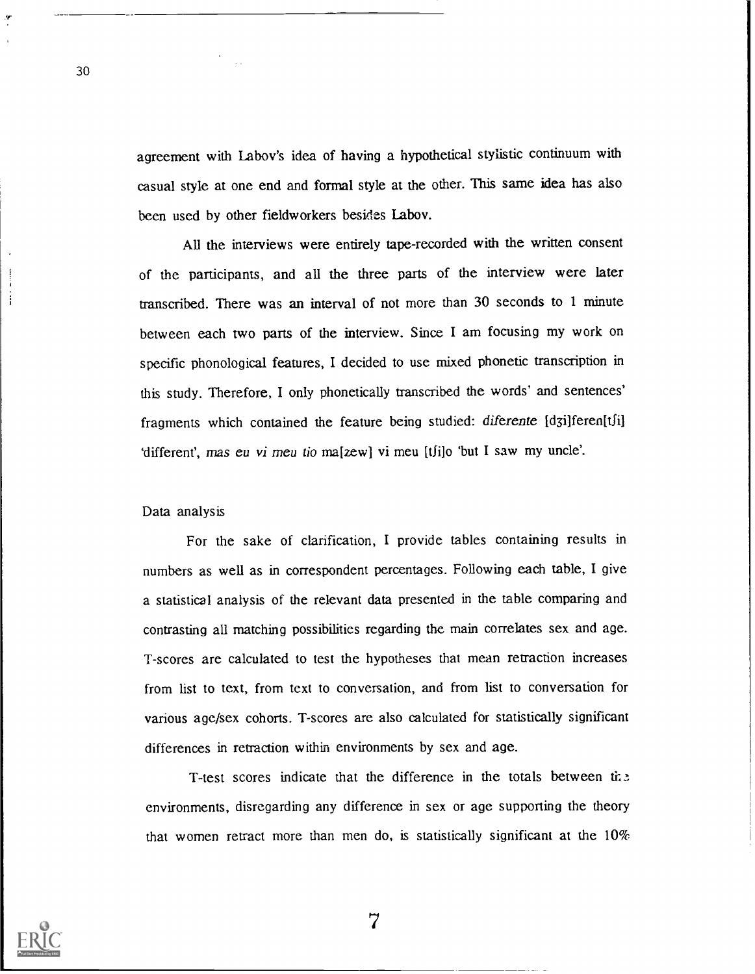agreement with Labov's idea of having a hypothetical stylistic continuum with casual style at one end and formal style at the other. This same idea has also been used by other fieldworkers besides Labov.

All the interviews were entirely tape-recorded with the written consent of the participants, and all the three parts of the interview were later transcribed. There was an interval of not more than 30 seconds to 1 minute between each two parts of the interview. Since I am focusing my work on specific phonological features, I decided to use mixed phonetic transcription in this study. Therefore, I only phonetically transcribed the words' and sentences' fragments which contained the feature being studied: diferente [d3i]feren[tʃi] 'different', mas eu vi meu tio ma[zew] vi meu [tʃi]o 'but I saw my uncle'.

Data analysis

30

For the sake of clarification, I provide tables containing results in numbers as well as in correspondent percentages. Following each table, I give a statistical analysis of the relevant data presented in the table comparing and contrasting all matching possibilities regarding the main correlates sex and age. T-scores are calculated to test the hypotheses that mean retraction increases from list to text, from text to conversation, and from list to conversation for various age/sex cohorts. T-scores are also calculated for statistically significant differences in retraction within environments by sex and age.

T-test scores indicate that the difference in the totals between environments, disregarding any difference in sex or age supporting the theory that women retract more than men do, is statistically significant at the  $10\%$ 

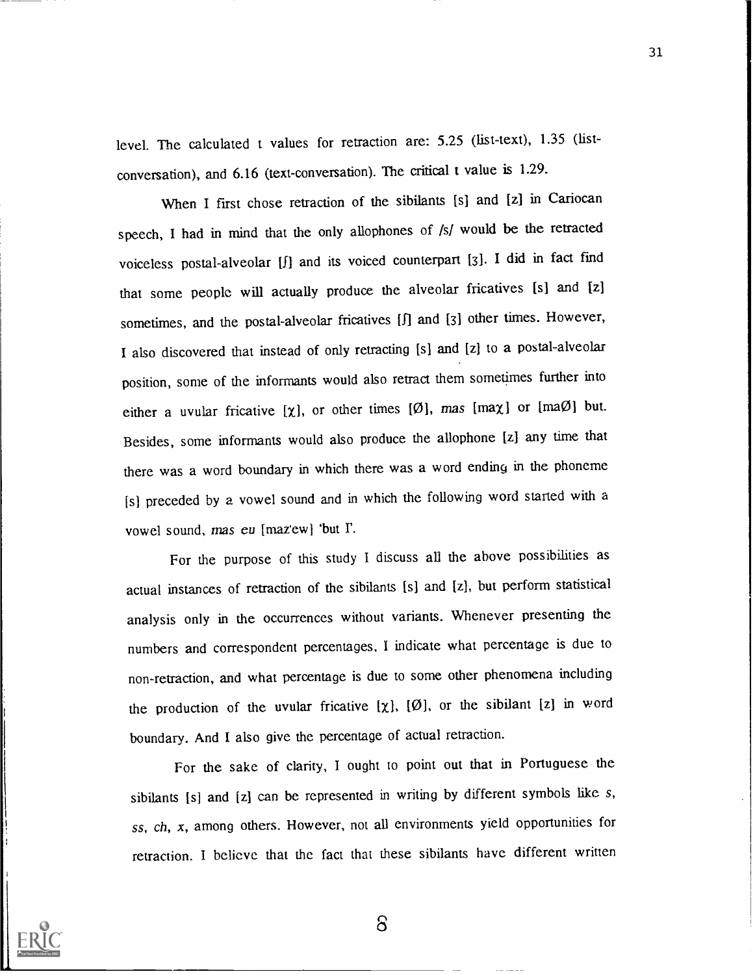level. The calculated t values for retraction are: 5.25 (list-text), 1.35 (listconversation), and 6.16 (text-conversation). The critical t value is 1.29.

When I first chose retraction of the sibilants [s] and [z] in Cariocan speech, I had in mind that the only allophones of /s/ would be the retracted voiceless postal-alveolar [1] and its voiced counterpart [3]. I did in fact find that some people will actually produce the alveolar fricatives [s] and [z] sometimes, and the postal-alveolar fricatives [f] and [3] other times. However, I also discovered that instead of only retracting [s] and [z] to a postal-alveolar position, some of the informants would also retract them sometimes further into either a uvular fricative [ $\chi$ ], or other times [ $\emptyset$ ], mas [ma $\chi$ ] or [ma $\emptyset$ ] but. Besides, some informants would also produce the allophone [z] any time that there was a word boundary in which there was a word ending in the phoneme [s] preceded by a vowel sound and in which the following word started with a vowel sound, mas eu [mazew] 'but I'.

For the purpose of this study I discuss all the above possibilities as actual instances of retraction of the sibilants [s] and [z], but perform statistical analysis only in the occurrences without variants. Whenever presenting the numbers and correspondent percentages, I indicate what percentage is due to non-retraction, and what percentage is due to some other phenomena including the production of the uvular fricative  $[\chi]$ ,  $[\emptyset]$ , or the sibilant  $[z]$  in word boundary. And I also give the percentage of actual retraction.

For the sake of clarity, I ought to point out that in Portuguese the sibilants [s] and [z] can be represented in writing by different symbols like s, ss, ch, x, among others. However, not all environments yield opportunities for retraction. I believe that the fact that these sibilants have different written



 $\delta$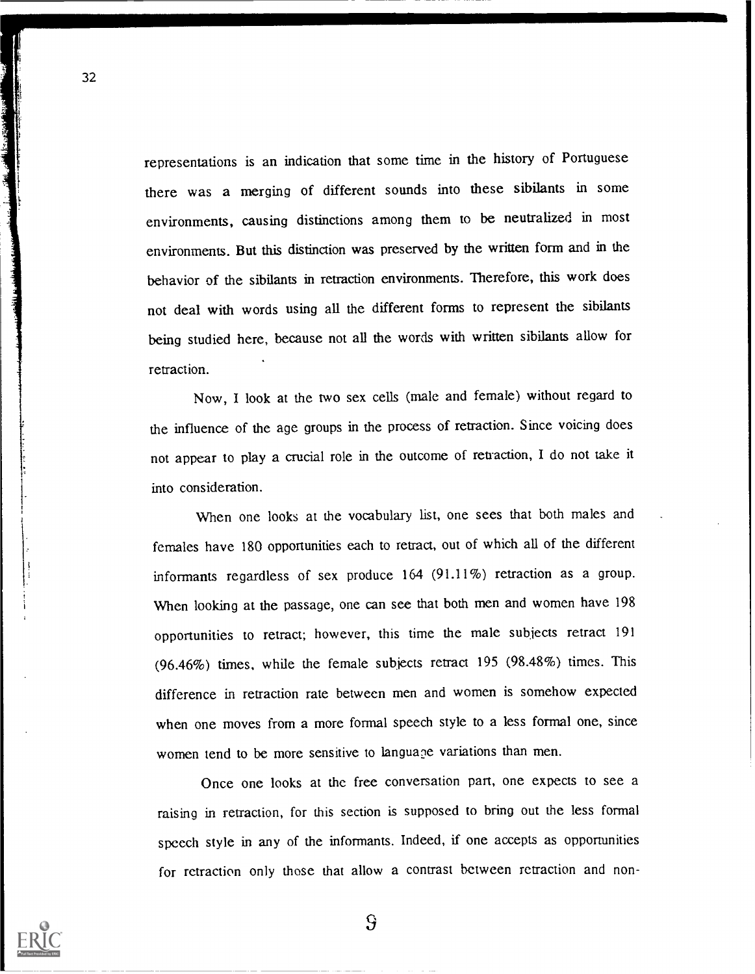representations is an indication that some time in the history of Portuguese there was a merging of different sounds into these sibilants in some environments, causing distinctions among them to be neutralized in most environments. But this distinction was preserved by the written form and in the behavior of the sibilants in retraction environments. Therefore, this work does not deal with words using all the different forms to represent the sibilants being studied here, because not all the words with written sibilants allow for retraction.

Now, I look at the two sex cells (male and female) without regard to the influence of the age groups in the process of retraction. Since voicing does not appear to play a crucial role in the outcome of retraction, I do not take it into consideration.

When one looks at the vocabulary list, one sees that both males and females have 180 opportunities each to retract, out of which all of the different informants regardless of sex produce 164 (91.11%) retraction as a group. When looking at the passage, one can see that both men and women have 198 opportunities to retract; however, this time the male subjects retract 191 (96.46%) times, while the female subjects retract 195 (98.48%) times. This difference in retraction rate between men and women is somehow expected when one moves from a more formal speech style to a less formal one, since women tend to be more sensitive to language variations than men.

Once one looks at the free conversation part, one expects to see a raising in retraction, for this section is supposed to bring out the less formal speech style in any of the informants. Indeed, if one accepts as opportunities for retraction only those that allow a contrast between retraction and non-



32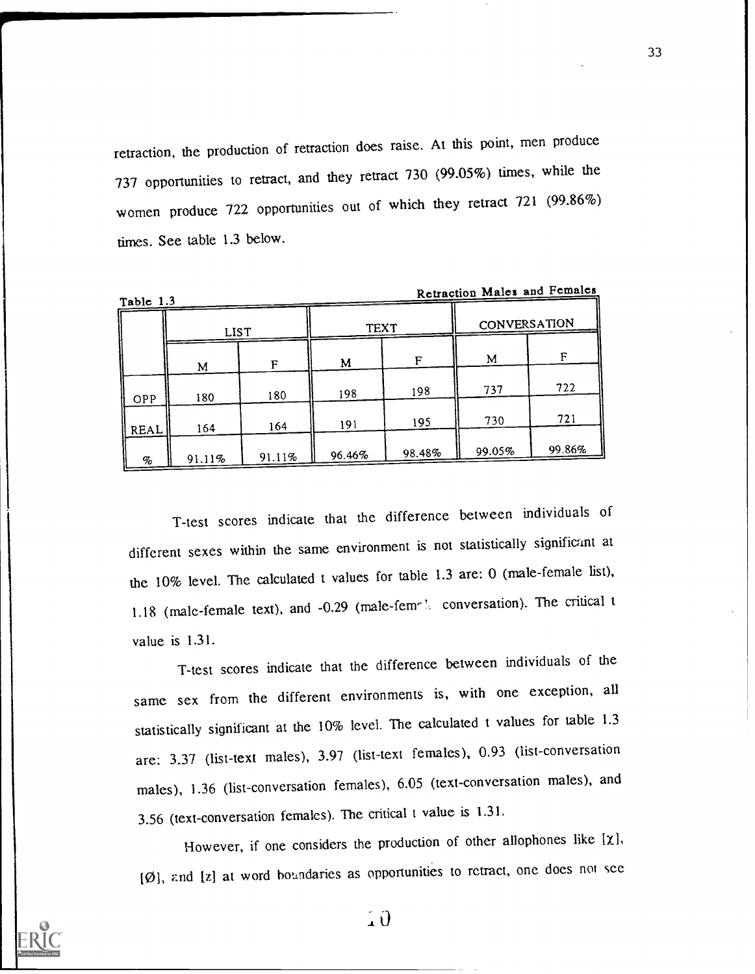retraction, the production of retraction does raise. At this point, men produce 737 opportunities to retract, and they retract 730 (99.05%) times, while the women produce 722 opportunities out of which they retract 721 (99.86%) times. See table 1.3 below.

| TROIG T.S.       |             |        |             |        |              |        |
|------------------|-------------|--------|-------------|--------|--------------|--------|
|                  | <b>LIST</b> |        | <b>TEXT</b> |        | CONVERSATION |        |
|                  | М           | F      | M           | F      | M            | F      |
| $\parallel$ OPP  | 180         | 180    | 198         | 198    | 737          | 722    |
| $\parallel$ REAL | 164         | 164    | 191         | 195    | 730          | 721    |
| $\%$             | 91.11%      | 91.11% | 96.46%      | 98.48% | 99.05%       | 99.86% |

Retraction Males and Females

T-test scores indicate that the difference between individuals of different sexes within the same environment is not statistically significant at the 10% level. The calculated t values for table 1.3 are: 0 (male-female list), 1.18 (male-female text), and -0.29 (male-femely conversation). The critical t value is 1.31.

T-test scores indicate that the difference between individuals of the same sex from the different environments is, with one exception, all statistically significant at the 10% level. The calculated t values for table 1.3 are: 3.37 (list-text males), 3.97 (list-text females), 0.93 (list-conversation males), 1.36 (list-conversation females), 6.05 (text-conversation males), and 3.56 (text-conversation females). The critical t value is 1.31.

However, if one considers the production of other allophones like  $[\chi]$ ,  $[Ø]$ , and  $[z]$  at word boundaries as opportunities to retract, one does not see



 $\overline{10}$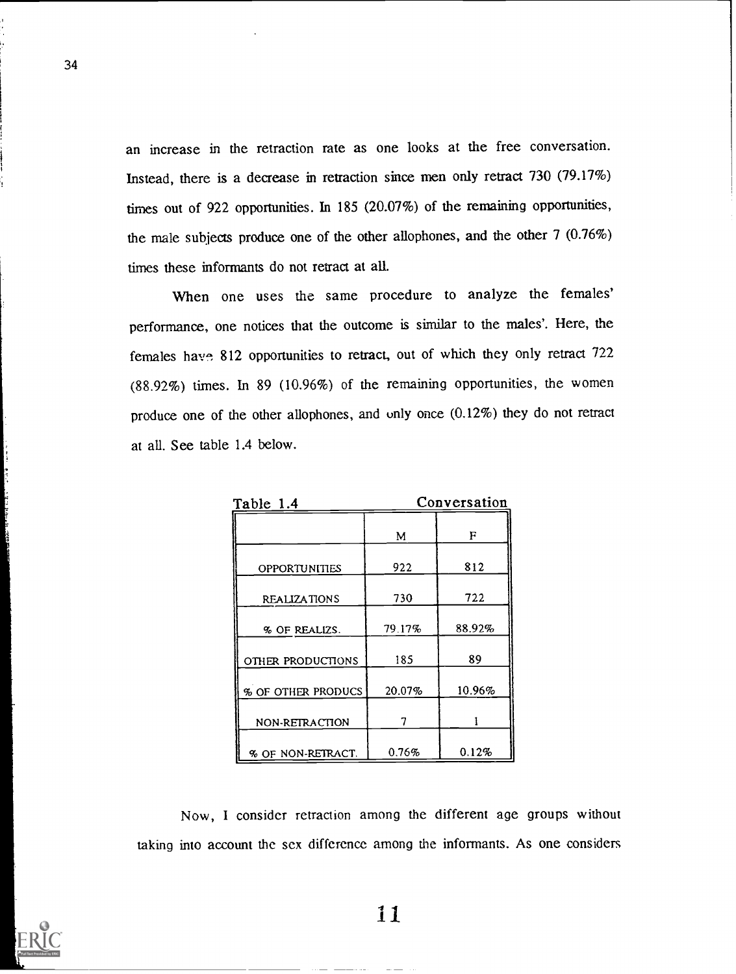an increase in the retraction rate as one looks at the free conversation. Instead, there is a decrease in retraction since men only retract 730 (79.17%) times out of 922 opportunities. In 185 (20.07%) of the remaining opportunities, the male subjects produce one of the other allophones, and the other 7 (0.76%) times these informants do not retract at all.

When one uses the same procedure to analyze the females' performance, one notices that the outcome is similar to the males'. Here, the females have 812 opportunities to retract., out of which they only retract 722 (88.92%) times. In 89 (10.96%) of the remaining opportunities, the women produce one of the other allophones, and only once (0.12%) they do not retract at all. See table 1.4 below.

| Table 1.4            |        | Conversation |
|----------------------|--------|--------------|
|                      | М      | F            |
| <b>OPPORTUNITIES</b> | 922    | 812          |
| <b>REALIZATIONS</b>  | 730    | 722          |
| % OF REALIZS.        | 79.17% | 88.92%       |
| OTHER PRODUCTIONS    | 185    | 89           |
| % OF OTHER PRODUCS   | 20.07% | 10.96%       |
| NON-RETRACTION       |        |              |
| % OF NON-RETRACT.    | 0.76%  | 0.12%        |

Now, I consider retraction among the different age groups without taking into account the sex difference among the informants. As one considers

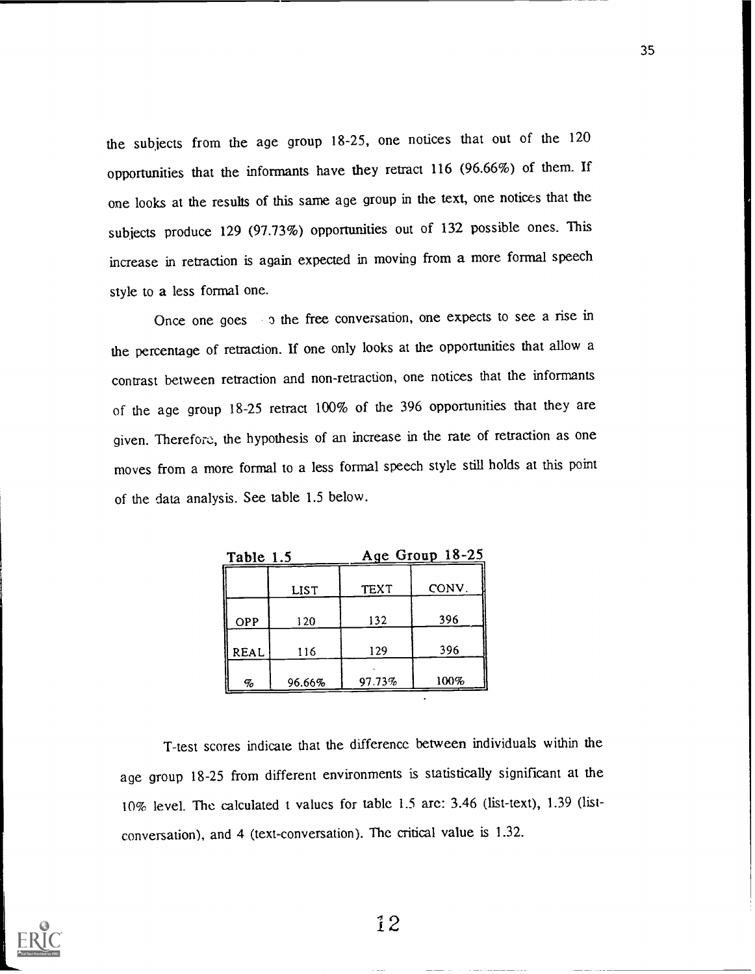the subjects from the age group 18-25, one notices that out of the 120 opportunities that the informants have they retract 116 (96.66%) of them. If one looks at the results of this same age group in the text, one notices that the subjects produce 129 (97.73%) opportunities out of 132 possible ones. This increase in retraction is again expected in moving from a more formal speech style to a less formal one.

Once one goes a the free conversation, one expects to see a rise in the percentage of retraction. If one only looks at the opportunities that allow a contrast between retraction and non-retraction, one notices that the informants of the age group 18-25 retract 100% of the 396 opportunities that they are given. Therefore:, the hypothesis of an increase in the rate of retraction as one moves from a more formal to a less formal speech style still holds at this point of the data analysis. See table 1.5 below.

| 1.1 SIOR 1  |        |             | $A$ ge Oluup 10-22 |  |
|-------------|--------|-------------|--------------------|--|
|             | LIST   | <b>TEXT</b> | CONV.              |  |
| <b>OPP</b>  | 120    | 132         | 396                |  |
| <b>REAL</b> | 116    | 129         | 396                |  |
| $\sigma$    | 96.66% | 97.73%      | 100%               |  |

Table 1.5 Age Group 18-25

T-test scores indicate that the difference between individuals within the age group 18-25 from different environments is statistically significant at the 10% level. The calculated t values for table 1.5 are: 3.46 (list-text), 1.39 (listconversation), and 4 (text-conversation). The critical value is 1.32.

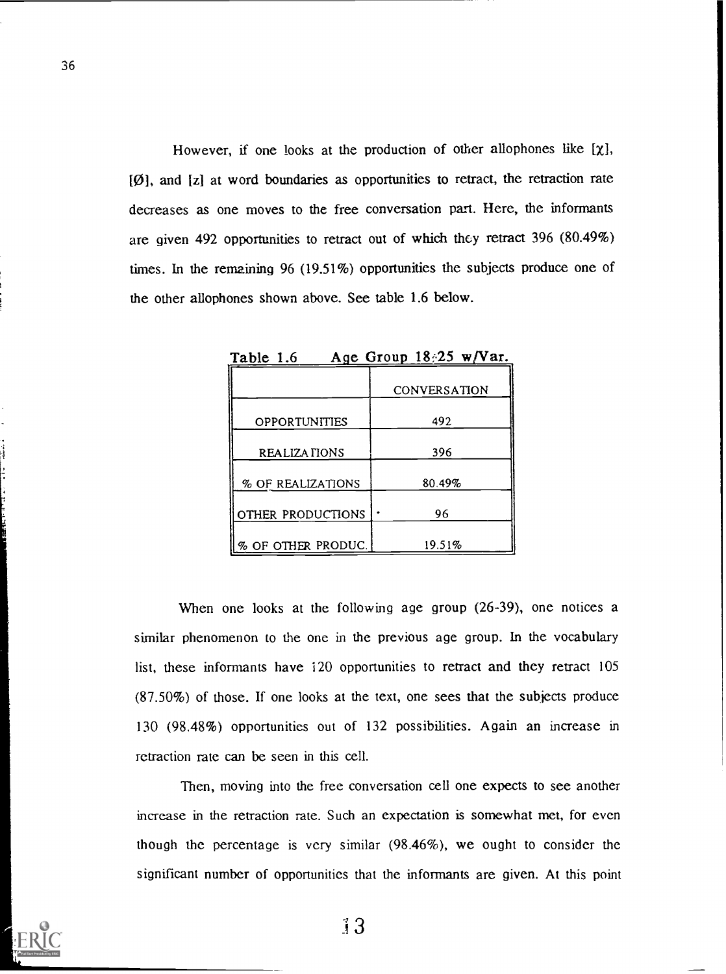However, if one looks at the production of other allophones like  $[\chi]$ , [0], and [z] at word boundaries as opportunities to retract, the retraction rate decreases as one moves to the free conversation part. Here, the informants are given 492 opportunities to retract out of which they retract 396 (80.49%) times. In the remaining 96 (19.51%) opportunities the subjects produce one of the other allophones shown above. See table 1.6 below.

| ----                           |              |
|--------------------------------|--------------|
|                                | CONVERSATION |
| <b>OPPORTUNITIES</b>           | 492          |
| REALIZATIONS                   | 396          |
| % OF REALIZATIONS              | 80.49%       |
| OTHER PRODUCTIONS              | 96           |
| $\parallel$ % of other produc. | 19.51%       |

Table 1.6 Age Group  $18/25$  w/Var.

When one looks at the following age group (26-39), one notices a similar phenomenon to the one in the previous age group. In the vocabulary list, these informants have 120 opportunities to retract and they retract 105 (87.50%) of those. If one looks at the text, one sees that the subjects produce 130 (98.48%) opportunities out of 132 possibilities. Again an increase in retraction rate can be seen in this cell.

Then, moving into the free conversation cell one expects to see another increase in the retraction rate. Such an expectation is somewhat met, for even though the percentage is very similar (98.46%), we ought to consider the significant number of opportunities that the informants are given. At this point

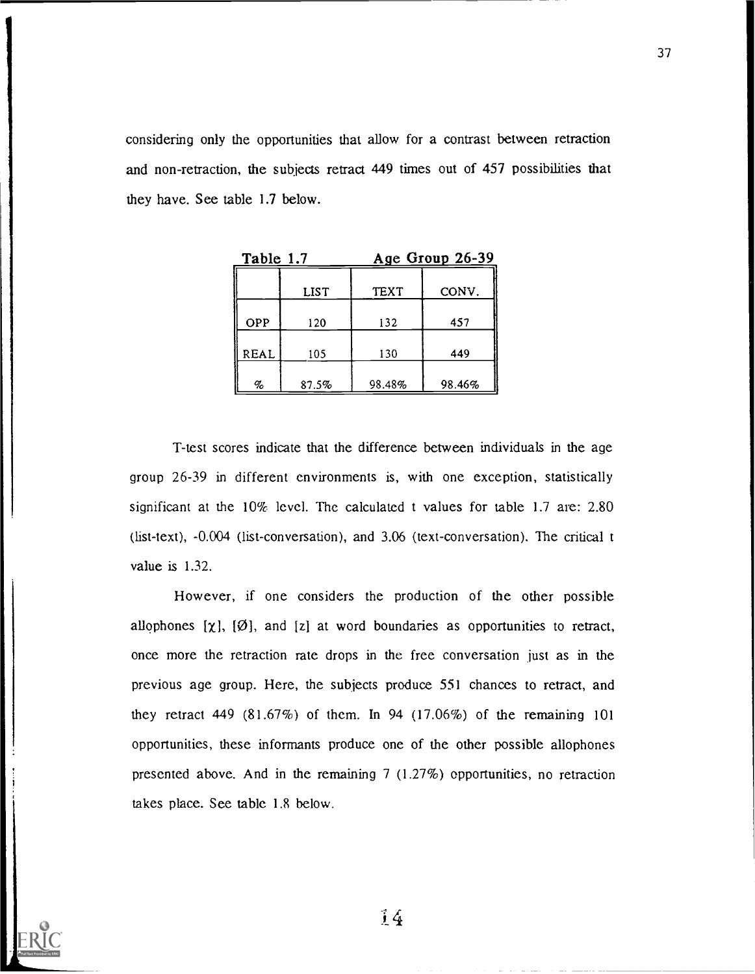considering only the opportunities that allow for a contrast between retraction and non-retraction, the subjects retract 449 times out of 457 possibilities that they have. See table 1.7 below.

| Table 1.7           |             | Age Group 26-39 |        |  |
|---------------------|-------------|-----------------|--------|--|
|                     | <b>LIST</b> | <b>TEXT</b>     | CONV.  |  |
| OPP                 | 120         | 132             | 457    |  |
| REAL                | 105         | 130             | 449    |  |
| $\emph{q}_\emph{o}$ | 87.5%       | 98.48%          | 98.46% |  |

T-test scores indicate that the difference between individuals in the age group 26-39 in different environments is, with one exception, statistically significant at the 10% level. The calculated t values for table 1.7 are: 2.80 (list-text), -0.004 (list-conversation), and 3.06 (text-conversation). The critical t value is 1.32.

However, if one considers the production of the other possible allophones  $[\chi]$ ,  $[\emptyset]$ , and  $[z]$  at word boundaries as opportunities to retract, once more the retraction rate drops in the free conversation just as in the previous age group. Here, the subjects produce 551 chances to retract, and they retract 449 (81.67%) of them. In 94 (17.06%) of the remaining 101 opportunities, these informants produce one of the other possible allophones presented above. And in the remaining  $7(1.27%)$  opportunities, no retraction takes place. See table 1.8 below.

 $\frac{7}{4}$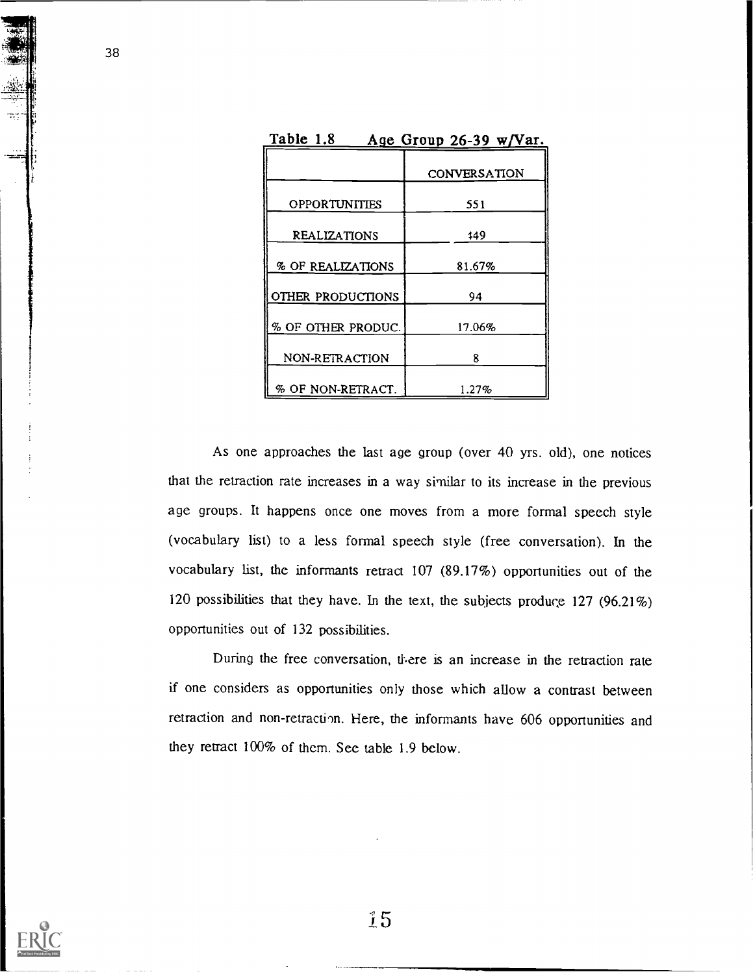| Table 1.8<br>Age Group 26-39 w/Var. |                     |  |  |  |
|-------------------------------------|---------------------|--|--|--|
|                                     | <b>CONVERSATION</b> |  |  |  |
| <b>OPPORTUNITIES</b>                | 551                 |  |  |  |
| REALIZATIONS                        | 149                 |  |  |  |
| % OF REALIZATIONS                   | 81.67%              |  |  |  |
| OTHER PRODUCTIONS                   | 94                  |  |  |  |
| % OF OTHER PRODUC.                  | 17.06%              |  |  |  |
| NON-RETRACTION                      | 8                   |  |  |  |
| % OF NON-RETRACT.                   | $1.27\%$            |  |  |  |

As one approaches the last age group (over 40 yrs. old), one notices that the retraction rate increases in a way similar to its increase in the previous age groups. It happens once one moves from a more formal speech style (vocabulary list) to a less formal speech style (free conversation). In the vocabulary list, the informants retract 107 (89.17%) opportunities out of the 120 possibilities that they have. In the text, the subjects produrg 127 (96.21%) opportunities out of 132 possibilities.

During the free conversation, there is an increase in the retraction rate if one considers as opportunities only those which allow a contrast between retraction and non-retraction. Here, the informants have 606 opportunities and they retract 100% of them. See table 1.9 below.



38

繁荣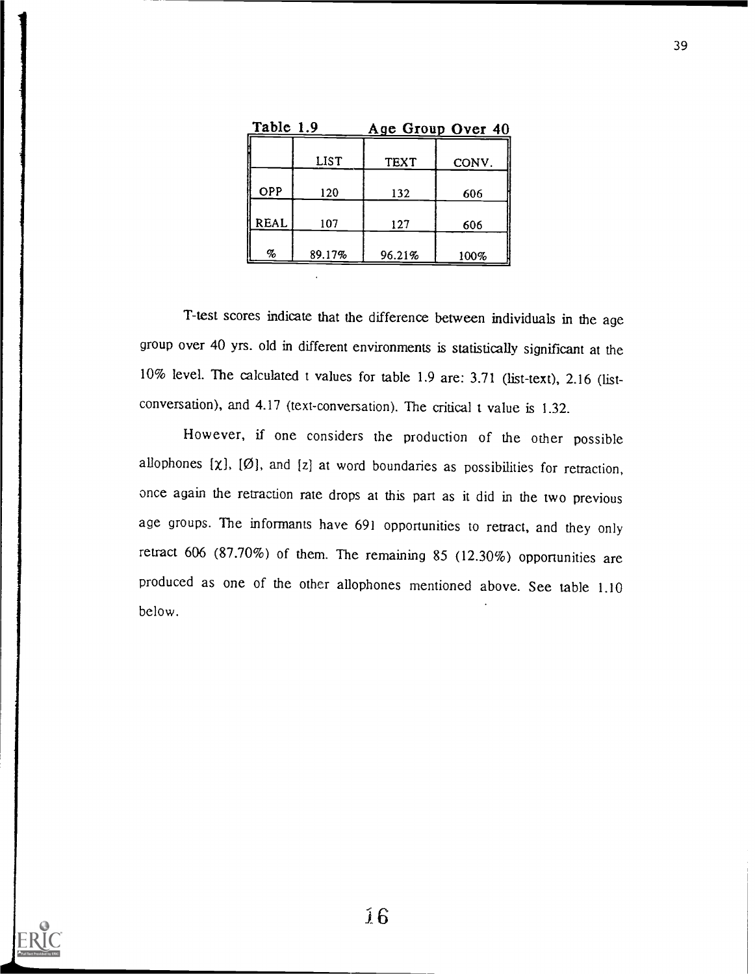| Table 1.9   |        |        | Age Group Over 40 |
|-------------|--------|--------|-------------------|
|             | LIST   | TEXT   | CONV.             |
| OPP         | 120    | 132    | 606               |
| <b>REAL</b> | 107    | 127    | 606               |
| %           | 89.17% | 96.21% | 100%              |

T-test scores indicate that the difference between individuals in the age group over 40 yrs. old in different environments is statistically significant at the 10% level. The calculated t values for table 1.9 are: 3.71 (list-text), 2.16 (listconversation), and 4.17 (text-conversation). The critical t value is 1.32.

However, if one considers the production of the other possible allophones  $[\chi]$ ,  $[\emptyset]$ , and  $[z]$  at word boundaries as possibilities for retraction, once again the retraction rate drops at this part as it did in the two previous age groups. The informants have 691 opportunities to retract, and they only retract 606 (87.70%) of them. The remaining 85 (12.30%) opportunities are produced as one of the other allophones mentioned above. See table 1.10 below.

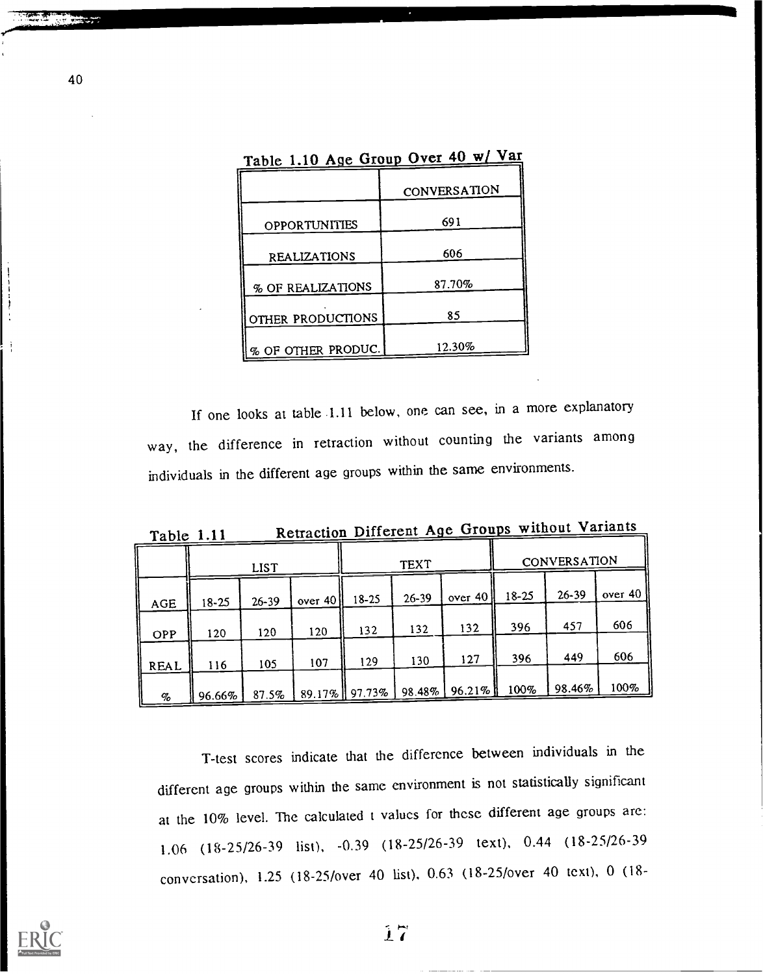|                      | Table 1.10 Age Group Over 40 w/ Var |  |  |  |  |
|----------------------|-------------------------------------|--|--|--|--|
|                      | CONVERSATION                        |  |  |  |  |
| <b>OPPORTUNITIES</b> | 691                                 |  |  |  |  |
| <b>REALIZATIONS</b>  | 606                                 |  |  |  |  |
| % OF REALIZATIONS    | 87.70%                              |  |  |  |  |
| OTHER PRODUCTIONS    | 85                                  |  |  |  |  |
| % OF OTHER PRODUC.   | 12.30%                              |  |  |  |  |

If one looks at table .1.11 below, one can see, in a more explanatory way, the difference in retraction without counting the variants among individuals in the different age groups within the same environments.

Table 1.11 Retraction Different Age Groups without Variants

|            |           | <b>LIST</b> |            |                 | <b>TEXT</b> |           | CONVERSATION |           |            |  |
|------------|-----------|-------------|------------|-----------------|-------------|-----------|--------------|-----------|------------|--|
| <b>AGE</b> | $18 - 25$ | $26 - 39$   | over $40h$ | $18 - 25$       | $26 - 39$   | over $40$ | $18 - 25$    | $26 - 39$ | over $401$ |  |
| OPP        | 120       | 120         | 120        | 132             | 132         | 132       | 396          | 457       | 606        |  |
| REAL       | 116       | 105         | 107        | 129             | 130         | 127       | 396          | 449       | 606        |  |
| %          | 96.66%    | 87.5%       |            | 89.17%   97.73% | $98.48\%$   | 96.21% l  | 100%         | 98.46%    | 100%       |  |

T-test scores indicate that the difference between individuals in the different age groups within the same environment is not statistically significant at the 10% level. The calculated t values for these different age groups arc: 1.06 (18-25/26-39 list), -0.39 (18-25/26-39 text), 0.44 (18-25/26-39 conversation), 1.25 (18-25/over 40 list), 0.63 (18-25/over 40 text), 0 (18-



40

 $\begin{array}{c}\n\frac{1}{2} & \frac{1}{2} & \frac{1}{2} & \frac{1}{2} \\
\frac{1}{2} & \frac{1}{2} & \frac{1}{2} & \frac{1}{2}\n\end{array}$ 

- - -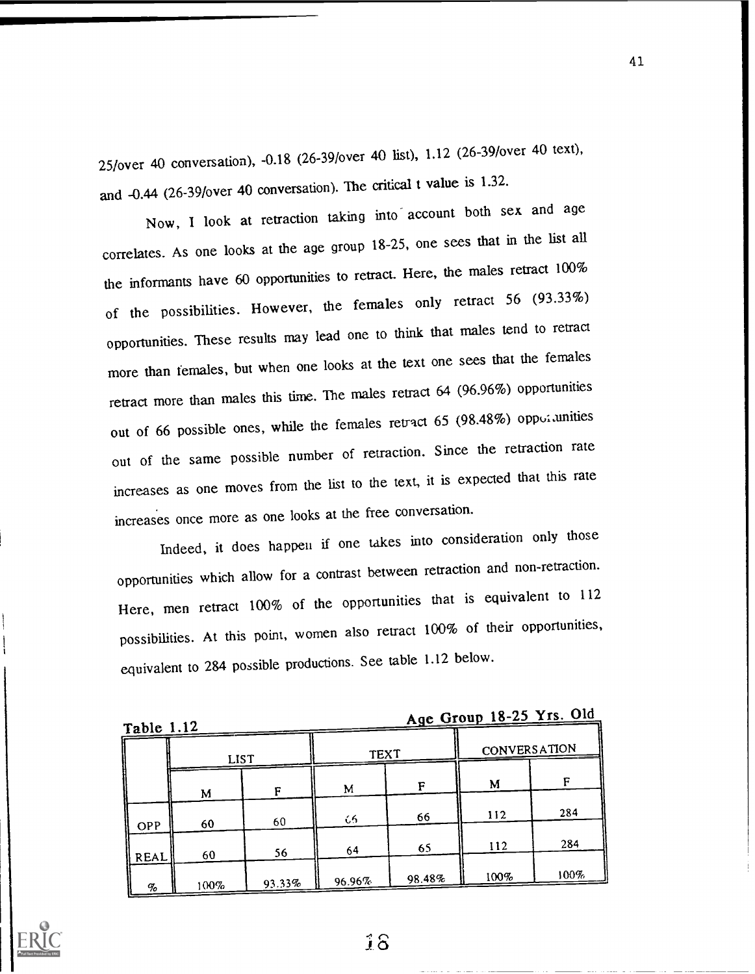25/over 40 conversation), -0.18 (26-39/over 40 list), 1.12 (26-39/over 40 text), and -0.44 (26-39/over 40 conversation). The critical t value is 1.32.

Now, I look at retraction taking into account both sex and age correlates. As one looks at the age group 18-25, one sees that in the list all the informants have 60 opportunities to retract. Here, the males retract 100% of the possibilities. However, the females only retract 56 (93.33%) opportunities. These results may lead one to think that males tend to retract more than females, but when one looks at the text one sees that the females retract more than males this time. The males retract 64 (96.96%) opportunities out of 66 possible ones, while the females retract 65 (98.48%) oppoiunities out of the same possible number of retraction. Since the retraction rate increases as one moves from the list to the text, it is expected that this rate increases once more as one looks at the free conversation.

Indeed, it does happen if one takes into consideration only those opportunities which allow for a contrast between retraction and non-retraction. Here, men retract 100% of the opportunities that is equivalent to 112 possibilities. At this point, women also retract 100% of their opportunities, equivalent to 284 possible productions. See table 1.12 below.

| Table |  | 1.12 |  |
|-------|--|------|--|
|       |  |      |  |

Age Group 18-25 Yrs. Old

| $14010$ $1.14$ |             |        |             |        |              |      |
|----------------|-------------|--------|-------------|--------|--------------|------|
|                | <b>LIST</b> |        | <b>TEXT</b> |        | CONVERSATION |      |
|                |             | F      | M           | F      | M            |      |
|                | M           |        |             |        | 112          | 284  |
| OPP            | 60          | 60     | -66         | 66     |              |      |
| REAL           | 60          | 56     | 64          | 65     | 112          | 284  |
| %              | 100%        | 93.33% | 96.96%      | 98.48% | 100%         | 100% |

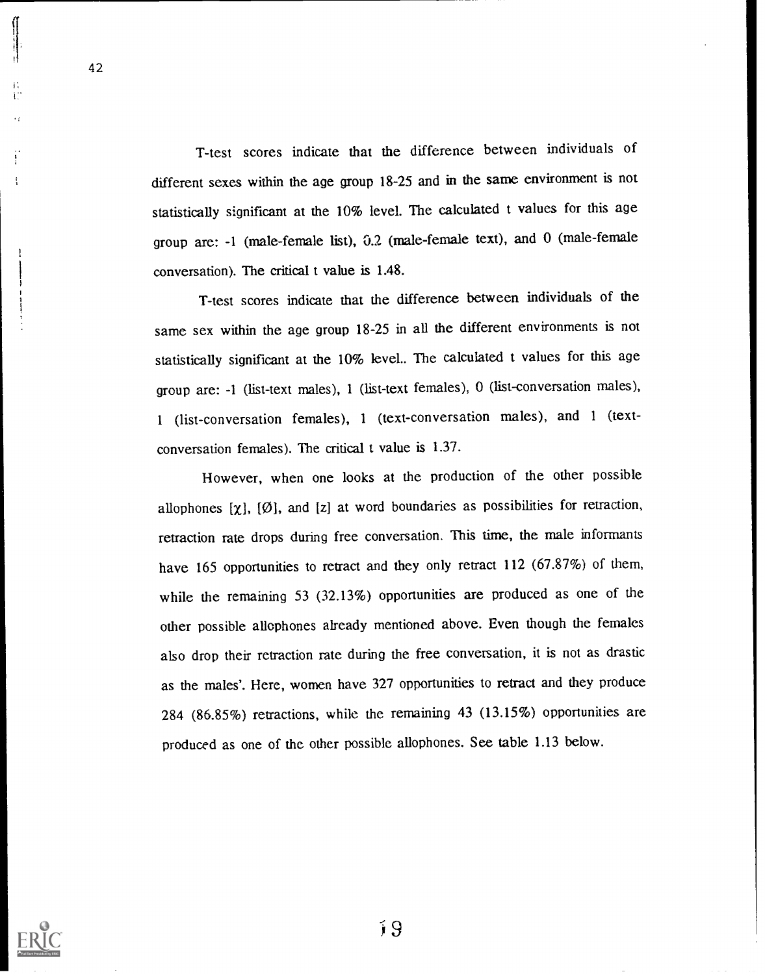T-test scores indicate that the difference between individuals of different sexes within the age group 18-25 and in the same environment is not statistically significant at the 10% level. The calculated t values for this age group are: -1 (male-female list), 0.2 (male-female text), and 0 (male-female conversation). The critical t value is 1.48.

T-test scores indicate that the difference between individuals of the same sex within the age group 18-25 in all the different environments is not statistically significant at the 10% level.. The calculated t values for this age group are: -1 (list-text males), 1 (list-text females), 0 (list-conversation males), <sup>1</sup> (list-conversation females), <sup>1</sup> (text-conversation males), and <sup>1</sup> (textconversation females). The critical t value is 1.37.

However, when one looks at the production of the other possible allophones  $[\chi]$ ,  $[\emptyset]$ , and  $[z]$  at word boundaries as possibilities for retraction, retraction rate drops during free conversation. This time, the male informants have 165 opportunities to retract and they only retract 112 (67.87%) of them, while the remaining 53 (32.13%) opportunities are produced as one of the other possible allophones already mentioned above. Even though the females also drop their retraction rate during the free conversation, it is not as drastic as the males'. Here, women have 327 opportunities to retract and they produce 284 (86.85%) retractions, while the remaining 43 (13.15%) opportunities are produced as one of the other possible allophones. See table 1.13 below.

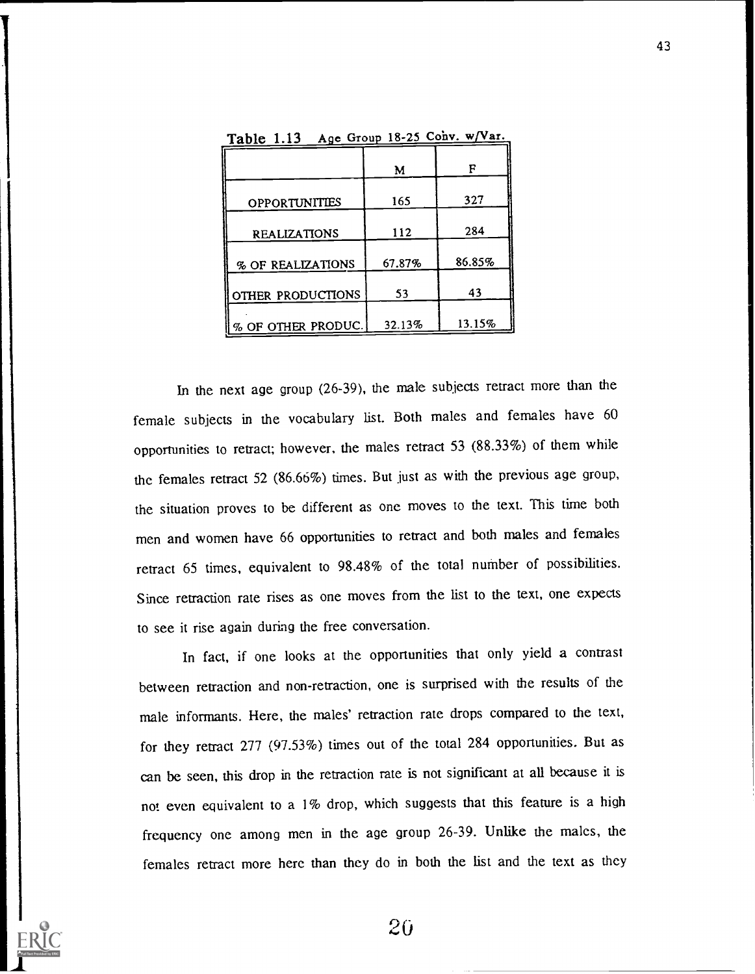|                      | м      | F      |
|----------------------|--------|--------|
| <b>OPPORTUNITIES</b> | 165    | 327    |
| <b>REALIZATIONS</b>  | 112    | 284    |
| % OF REALIZATIONS    | 67.87% | 86.85% |
| OTHER PRODUCTIONS    | 53     | 43     |
| % OF OTHER PRODUC.   | 32.13% | 13.15% |

Table 1.13 Age Group 18-25 Cohv.  $w / Var$ .

In the next age group (26-39), the male subjects retract more than the female subjects in the vocabulary list. Both males and females have 60 opportunities to retract; however, the males retract 53 (88.33%) of them while the females retract 52 (86.66%) times. But just as with the previous age group, the situation proves to be different as one moves to the text. This time both men and women have 66 opportunities to retract and both males and females retract 65 times, equivalent to 98.48% of the total number of possibilities. Since retraction rate rises as one moves from the list to the text, one expects to see it rise again during the free conversation.

In fact, if one looks at the opportunities that only yield a contrast between retraction and non-retraction, one is surprised with the results of the male informants. Here, the males' retraction rate drops compared to the text, for they retract 277 (97.53%) times out of the total 284 opportunities. But as can be seen, this drop in the retraction rate is not significant at all because it is not even equivalent to a  $1\%$  drop, which suggests that this feature is a high frequency one among men in the age group 26-39. Unlike the males, the females retract more here than they do in both the list and the text as they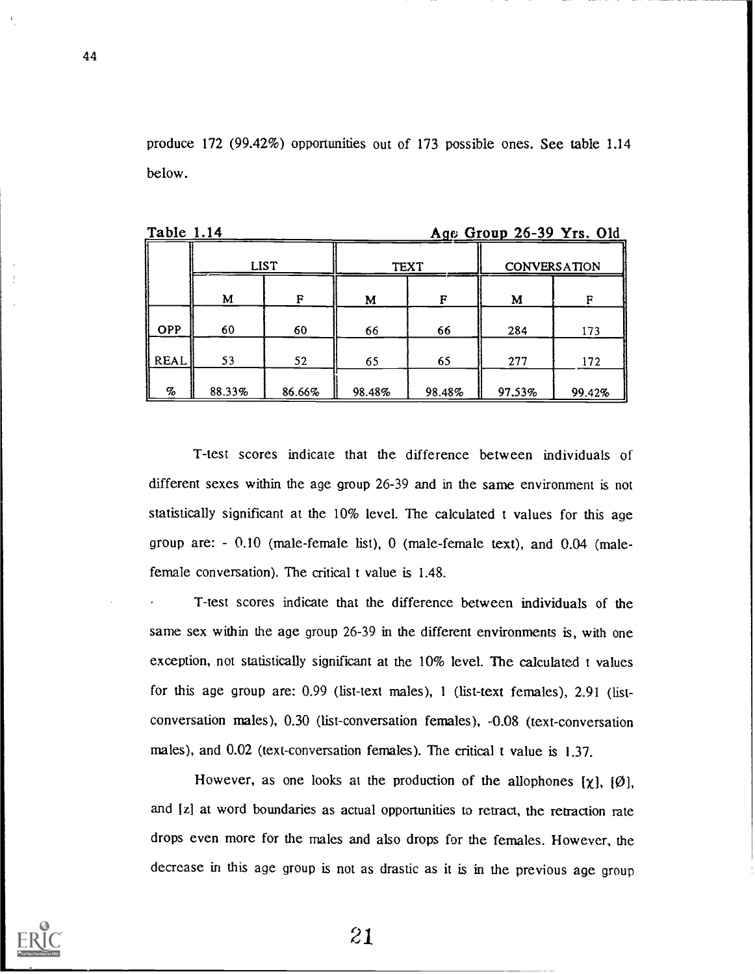produce 172 (99.42%) opportunities out of 173 possible ones. See table 1.14 below.

| .          | $\frac{1190}{2104}$ $\frac{104}{20}$ $\frac{10}{22}$ $\frac{115}{200}$ |             |        |        |                     |        |  |  |  |  |  |
|------------|------------------------------------------------------------------------|-------------|--------|--------|---------------------|--------|--|--|--|--|--|
|            |                                                                        | <b>LIST</b> |        | TEXT   | <b>CONVERSATION</b> |        |  |  |  |  |  |
|            | M<br>R<br>M                                                            |             | F      | M      | F                   |        |  |  |  |  |  |
| <b>OPP</b> | 60                                                                     | 60          | 66     | 66     | 284                 | 173    |  |  |  |  |  |
| REAL       | 53                                                                     | 52          | 65     | 65     | 277                 | 172    |  |  |  |  |  |
| $\%$       | 88.33%                                                                 | 86.66%      | 98.48% | 98.48% | 97.53%              | 99.42% |  |  |  |  |  |

Table 1.14 **A Graph 26-39 Yrs. Old** 

T-test scores indicate that the difference between individuals of different sexes within the age group 26-39 and in the same environment is not statistically significant at the 10% level. The calculated t values for this age group are: - 0.10 (male-female list), 0 (male-female text), and 0.04 (malefemale conversation). The critical t value is 1.48.

T-test scores indicate that the difference between individuals of the same sex within the age group 26-39 in the different environments is, with one exception, not statistically significant at the 10% level. The calculated t values for this age group are: 0.99 (list-text males), 1 (list-text females), 2.91 (listconversation males), 0.30 (list-conversation females), -0.08 (text-conversation males), and 0.02 (text-conversation females). The critical t value is 1.37.

However, as one looks at the production of the allophones  $[\chi]$ ,  $[\emptyset]$ , and [z] at word boundaries as actual opportunities to retract, the retraction rate drops even more for the males and also drops for the females. However, the decrease in this age group is not as drastic as it is in the previous age group

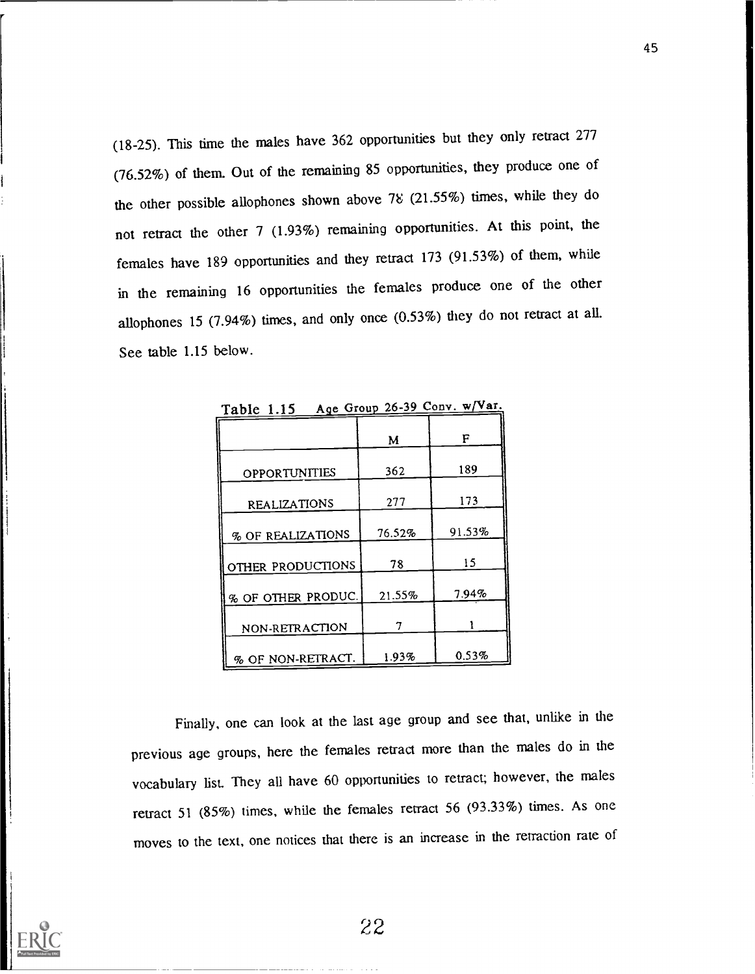(18-25). This time the males have 362 opportunities but they only retract 277 (76.52%) of them. Out of the remaining 85 opportunities, they produce one of the other possible allophones shown above  $78$  (21.55%) times, while they do not retract the other 7 (1.93%) remaining opportunities. At this point, the females have 189 opportunities and they retract 173 (91.53%) of them, while in the remaining 16 opportunities the females produce one of the other allophones 15 (7.94%) times, and only once (0.53%) they do not retract at all. See table 1.15 below.

|                      | M      | F      |
|----------------------|--------|--------|
| <b>OPPORTUNITIES</b> | 362    | 189    |
| <b>REALIZATIONS</b>  | 277    | 173    |
| % OF REALIZATIONS    | 76.52% | 91.53% |
| OTHER PRODUCTIONS    | 78     | 15     |
| % OF OTHER PRODUC.   | 21.55% | 7.94%  |
| NON-RETRACTION       | 7      |        |
| % OF NON-RETRACT.    | 1.93%  | 0.53%  |

Table 1.15 Age Group 26-39 Conv. w/Var.

Finally, one can look at the last age group and see that, unlike in the previous age groups, here the females retract more than the males do in the vocabulary list. They all have 60 opportunities to retract; however, the males retract 51 (85%) times, while the females retract 56 (93.33%) times. As one moves to the text, one notices that there is an increase in the retraction rate of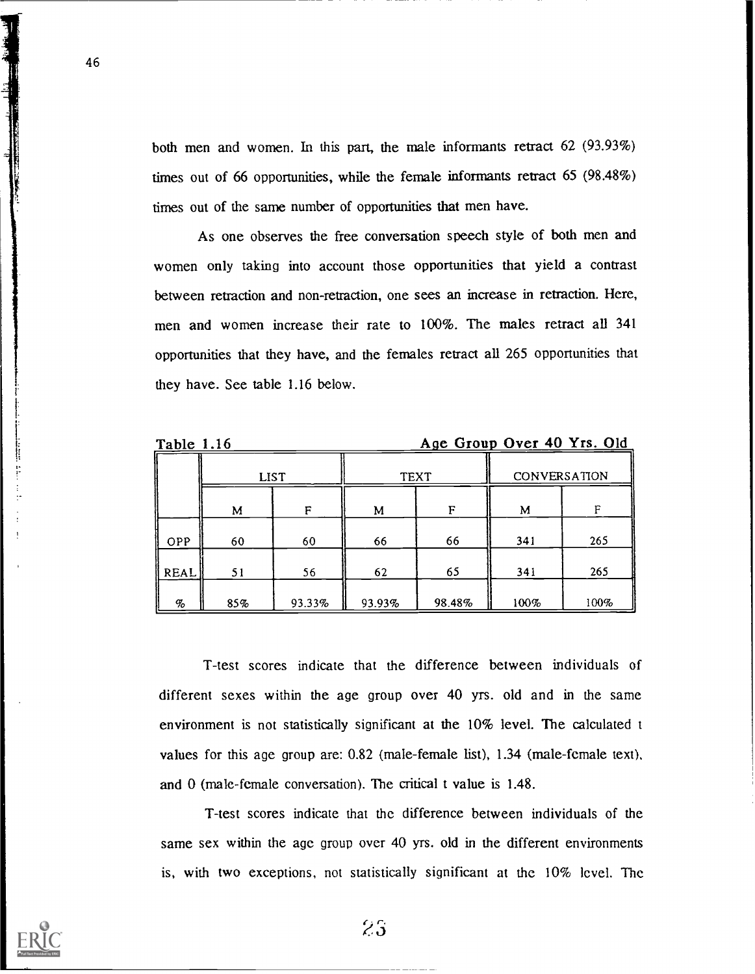both men and women. In this part, the male informants retract 62 (93.93%) times out of 66 opportunities, while the female informants retract 65 (98.48%) times out of the same number of opportunities that men have.

As one observes the free conversation speech style of both men and women only taking into account those opportunities that yield a contrast between retraction and non-retraction, one sees an increase in retraction. Here, men and women increase their rate to 100%. The males retract all 341 opportunities that they have, and the females retract all 265 opportunities that they have. See table 1.16 below.

46

Table 1.16 Age Group Over 40 Yrs. Old

|                 |     | <b>LIST</b> | <b>TEXT</b> |        | CONVERSATION |      |
|-----------------|-----|-------------|-------------|--------|--------------|------|
|                 | M   | F           | М           | F      | м            | Е    |
| <b>OPP</b>      | 60  | 60          | 66          | 66     | 341          | 265  |
| REAL            | 51  | 56          | 62          | 65     | 341          | 265  |
| $\mathcal{G}_o$ | 85% | 93.33%      | 93.93%      | 98.48% | 100%         | 100% |

T-test scores indicate that the difference between individuals of different sexes within the age group over 40 yrs. old and in the same environment is not statistically significant at the 10% level. The calculated t values for this age group are: 0.82 (male-female list), 1.34 (male-female text). and 0 (male-female conversation). The critical t value is 1.48.

T-test scores indicate that the difference between individuals of the same sex within the age group over 40 yrs. old in the different environments is, with two exceptions, not statistically significant at the 10% level. The

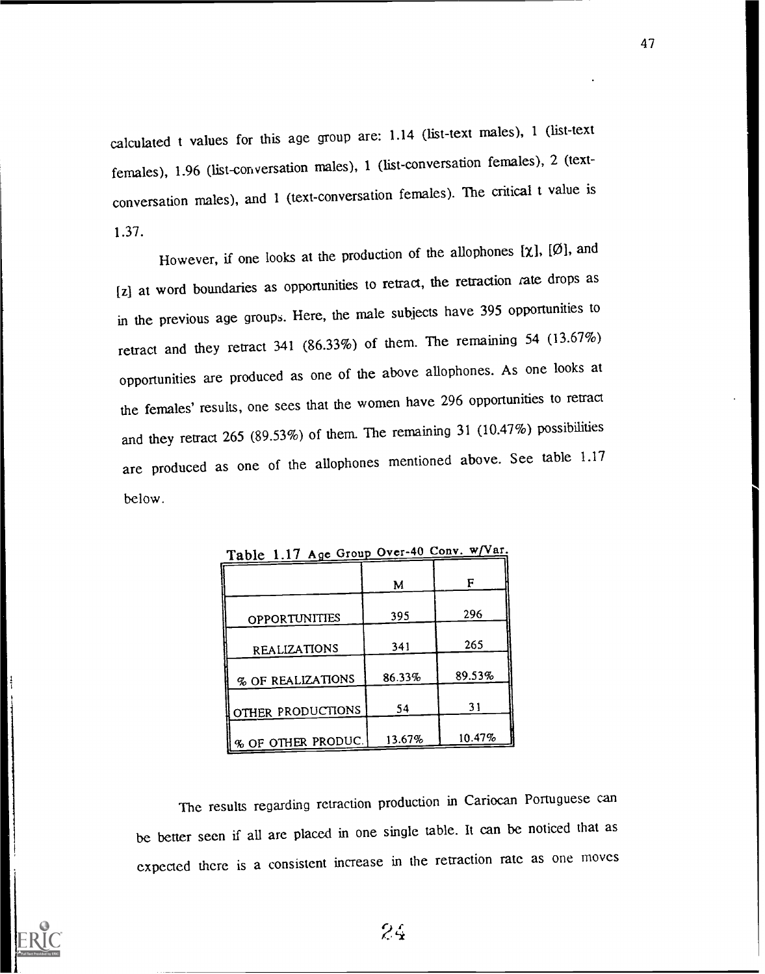calculated t values for this age group are: 1.14 (list-text males), <sup>1</sup> (list-text females), 1.96 (list-conversation males), 1 (list-conversation females), 2 (textconversation males), and 1 (text-conversation females). The critical t value is 1.37.

However, if one looks at the production of the allophones  $[\chi]$ ,  $[\emptyset]$ , and [z) at word boundaries as opportunities to retract, the retraction rate drops as in the previous age groups. Here, the male subjects have 395 opportunities to retract and they retract 341 (86.33%) of them. The remaining 54 (13.67%) opportunities are produced as one of the above allophones. As one looks at the females' results, one sees that the women have 296 opportunities to retract and they retract 265 (89.53%) of them. The remaining 31 (10.47%) possibilities are produced as one of the allophones mentioned above. See table 1.17 below.

| $1401C$ $1.11$ $A9C$ $O104C$ |        |        |  |
|------------------------------|--------|--------|--|
|                              | M      | F      |  |
| <b>OPPORTUNITIES</b>         | 395    | 296    |  |
| <b>REALIZATIONS</b>          | 341    | 265    |  |
| % OF REALIZATIONS            | 86.33% | 89.53% |  |
| OTHER PRODUCTIONS            | 54     | 31     |  |
|                              |        |        |  |
| % OF OTHER PRODUC.           | 13.67% | 10.47% |  |

Table 1.17 Ace Group Over-40 Cony.  $w/Var$ .

The results regarding retraction production in Cariocan Portuguese can be better seen if all are placed in one single table. It can be noticed that as expected there is a consistent increase in the retraction rate as one moves

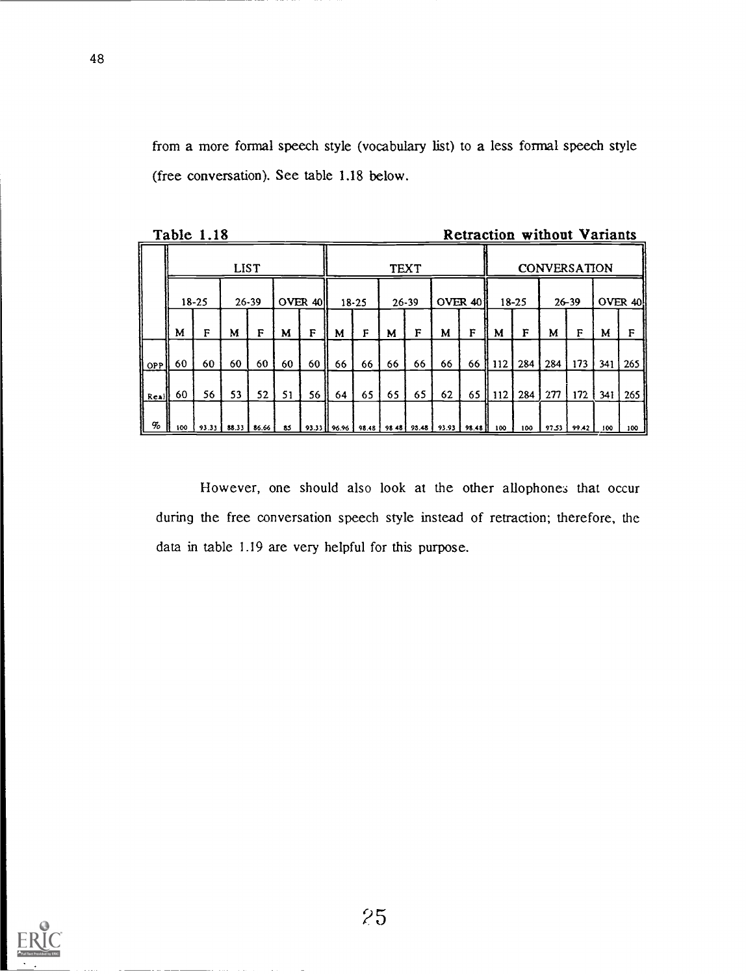from a more formal speech style (vocabulary list) to a less formal speech style (free conversation). See table 1.18 below.

|           |     | Table 1.18            |             |    |    |                 |                                   |    |                        |    |                         |                       |            |     | <b>Retraction without Variants</b> |       |     |              |
|-----------|-----|-----------------------|-------------|----|----|-----------------|-----------------------------------|----|------------------------|----|-------------------------|-----------------------|------------|-----|------------------------------------|-------|-----|--------------|
|           |     |                       | <b>LIST</b> |    |    |                 | <b>TEXT</b>                       |    |                        |    |                         | <b>CONVERSATION</b>   |            |     |                                    |       |     |              |
|           |     | $18 - 25$             | $26 - 39$   |    |    | OVER 40         | OVER 40<br>$26 - 39$<br>$18 - 25$ |    | $18 - 25$<br>$26 - 39$ |    | OVER 40!                |                       |            |     |                                    |       |     |              |
|           | M   | F                     | M           | F  | М  | F               | M                                 | F  | M                      | F  | M                       | F                     | M          | F   | M                                  | F     | M   | F            |
| OPP       | 60  | 60                    | 60          | 60 | 60 | 60 <sub>b</sub> | 66                                | 66 | 66                     | 66 | 66                      |                       | 66    112  | 284 | 284                                | 173   | 341 | <b>265</b> l |
| $ $ Reall | -60 | 56.                   | 53          | 52 | 51 | 56              | 64                                | 65 | 65                     | 65 | 62                      |                       | $65$   112 | 284 | 277                                | 172   | 341 | 265          |
| %         | 100 | 93.33   88.33   86.66 |             |    | 85 |                 | $93.33$    96.96                  |    |                        |    | 98.48 98 48 93.48 93.93 | $\frac{1}{28.48}$ 100 |            | 100 | 97.53                              | 99.42 | 100 | 100          |

However, one should also look at the other allophones that occur during the free conversation speech style instead of retraction; therefore, the data in table 1.19 are very helpful for this purpose.

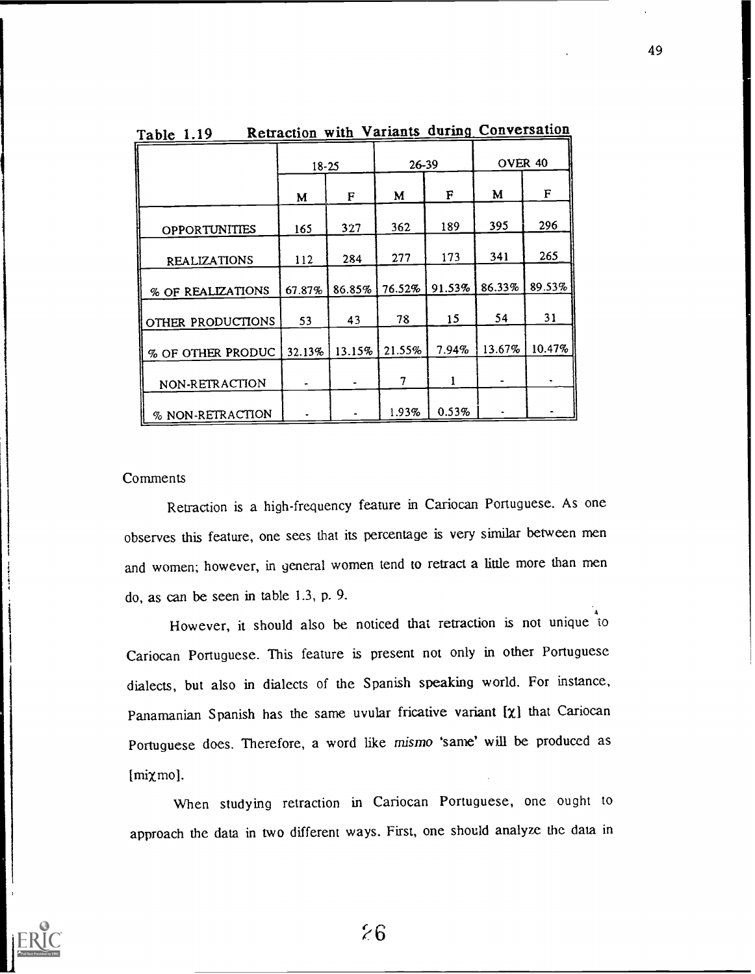|                      | $18 - 25$ |        | $26 - 39$ |        | OVER <sub>40</sub> |        |  |
|----------------------|-----------|--------|-----------|--------|--------------------|--------|--|
|                      | M         | F      | M         | F      | M                  | F      |  |
| <b>OPPORTUNITIES</b> | 165       | 327    | 362       | 189    | 395                | 296    |  |
| <b>REALIZATIONS</b>  | 112       | 284    | 277       | 173    | 341                | 265    |  |
| % OF REALIZATIONS    | 67.87%    | 86.85% | 76.52%    | 91.53% | 86.33%             | 89.53% |  |
| OTHER PRODUCTIONS    | 53        | 43     | 78        | 15     | 54                 | 31     |  |
| % OF OTHER PRODUC    | 32.13%    | 13.15% | 21.55%    | 7.94%  | 13.67%             | 10.47% |  |
| NON-RETRACTION       | $\bullet$ |        | 7         |        |                    |        |  |
| % NON-RETRACTION     |           |        | 1.93%     | 0.53%  |                    |        |  |

Table 1.19 Retraction with Variants during Conversation

### **Comments**

Retraction is a high-frequency feature in Cariocan Portuguese. As one observes this feature, one sees that its percentage is very similar between men and women; however, in general women tend to retract a little more than men do, as can be seen in table 1.3, p. 9.

However, it should also be noticed that retraction is not unique to Cariocan Portuguese. This feature is present not only in other Portuguese dialects, but also in dialects of the Spanish speaking world. For instance, Panamanian Spanish has the same uvular fricative variant  $[\chi]$  that Cariocan Portuguese does. Therefore, a word like mismo 'same' will be produced as [mixmo].

When studying retraction in Cariocan Portuguese, one ought to approach the data in two different ways. First, one should analyze the data in

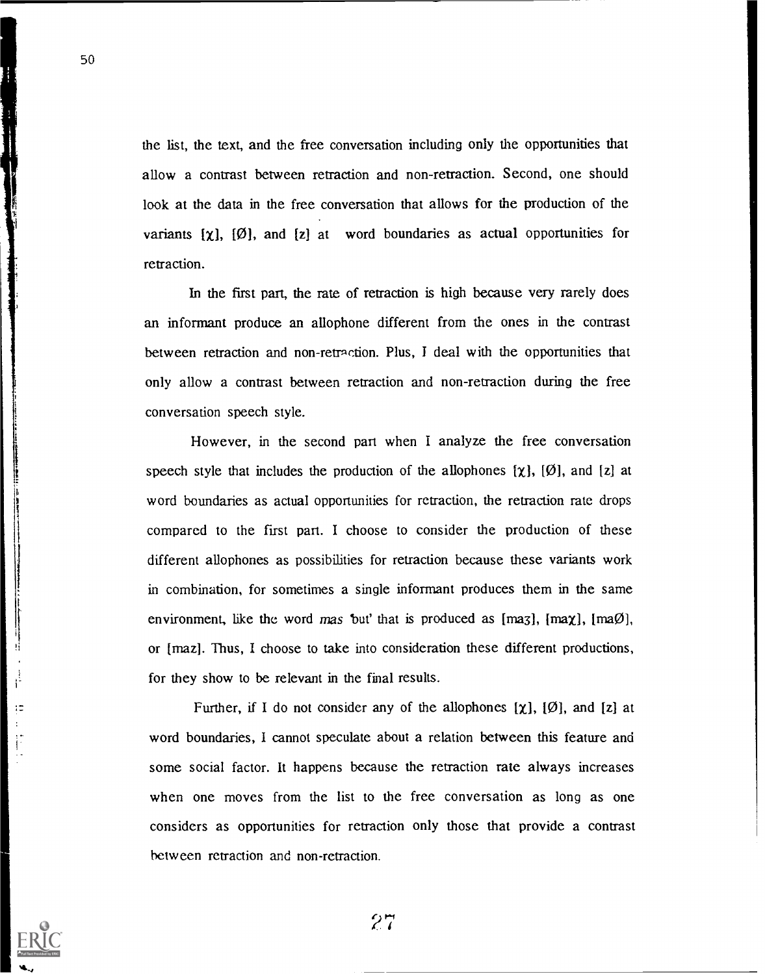the list, the text, and the free conversation including only the opportunities that allow a contrast between retraction and non-retraction. Second, one should look at the data in the free conversation that allows for the production of the variants  $[\chi]$ ,  $[\emptyset]$ , and  $[z]$  at word boundaries as actual opportunities for retraction.

In the first part, the rate of retraction is high because very rarely does an informant produce an allophone different from the ones in the contrast between retraction and non retraction. Plus, I deal with the opportunities that only allow a contrast between retraction and non-retraction during the free conversation speech style.

However, in the second part when I analyze the free conversation speech style that includes the production of the allophones  $[\chi]$ ,  $[\emptyset]$ , and  $[z]$  at word boundaries as actual opportunities for retraction, the retraction rate drops compared to the first part. I choose to consider the production of these different allophones as possibilities for retraction because these variants work in combination, for sometimes a single informant produces them in the same environment, like the word mas but that is produced as  $[ma3]$ ,  $[ma\emptyset]$ , or  $[maz]$ . Thus, I choose to take into consideration these different productions, for they show to be relevant in the final results.

Further, if I do not consider any of the allophones  $[\chi]$ ,  $[\emptyset]$ , and  $[z]$  at word boundaries, I cannot speculate about a relation between this feature and some social factor. It happens because the retraction rate always increases when one moves from the list to the free conversation as long as one considers as opportunities for retraction only those that provide a contrast between retraction and non-retraction.

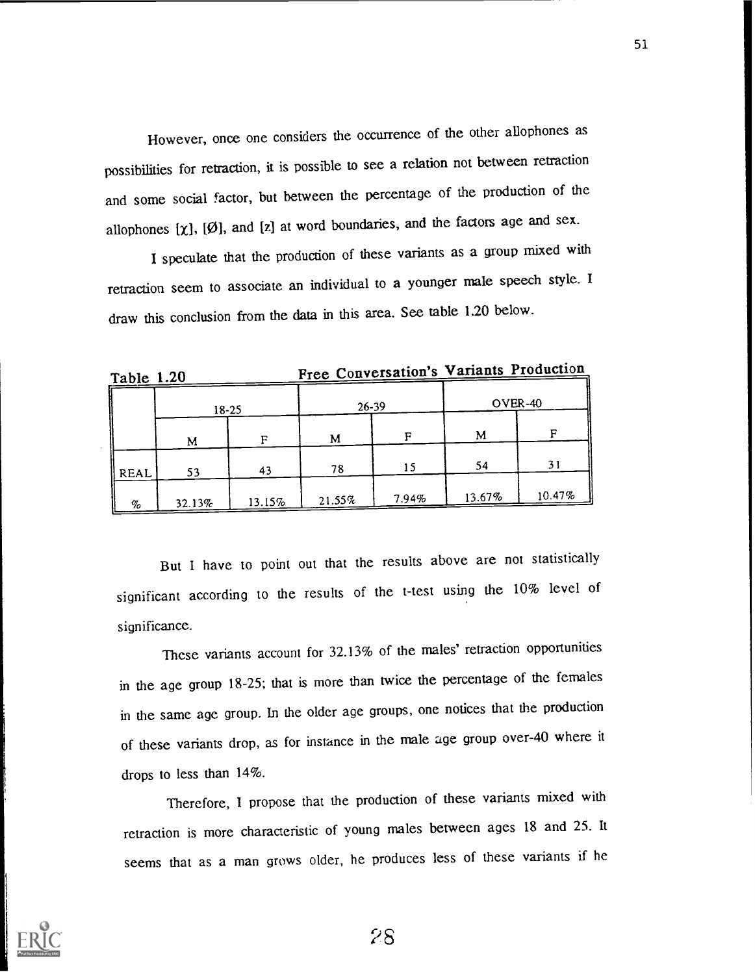However, once one considers the occurrence of the other allophones as possibilities for retraction, it is possible to see a relation not between retraction and some social factor, but between the percentage of the production of the allophones  $[\chi]$ ,  $[\emptyset]$ , and  $[z]$  at word boundaries, and the factors age and sex.

I speculate that the production of these variants as a group mixed with retraction seem to associate an individual to a younger male speech style. I draw this conclusion from the data in this area. See table 1.20 below.

Free Conversation's Variants Production Table 1.20

|      | $18-25$ |        | $26 - 39$ |       | OVER-40 |        |  |  |
|------|---------|--------|-----------|-------|---------|--------|--|--|
|      | M       |        | M         | с     | M       | г      |  |  |
| REAL | 53      | 43     | 78        | 15    | 54      | 31     |  |  |
| $\%$ | 32.13%  | 13.15% | 21.55%    | 7.94% | 13.67%  | 10.47% |  |  |

But I have to point out that the results above are not statistically significant according to the results of the t-test using the 10% level of significance.

These variants account for 32.13% of the males' retraction opportunities in the age group 18-25; that is more than twice the percentage of the females in the same age group. In the older age groups, one notices that the production of these variants drop, as for instance in the male age group over-40 where it drops to less than 14%.

Therefore, I propose that the production of these variants mixed with retraction is more characteristic of young males between ages 18 and 25. It seems that as a man grows older, he produces less of these variants if he

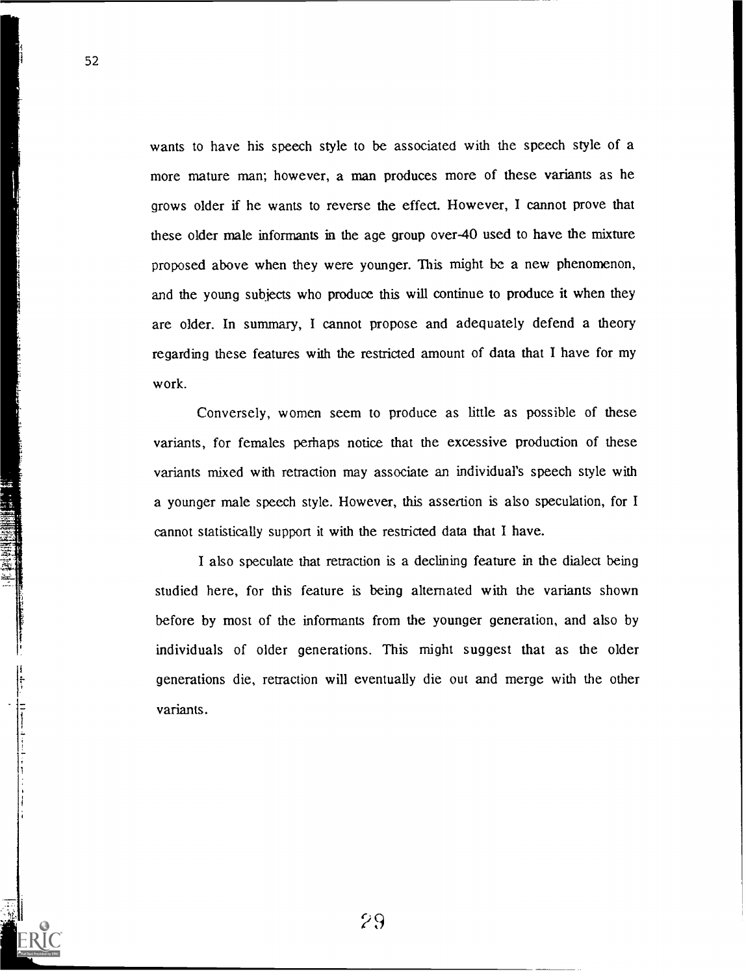wants to have his speech style to be associated with the speech style of a more mature man; however, a man produces more of these variants as he grows older if he wants to reverse the effect. However, I cannot prove that these older male informants in the age group over-40 used to have the mixture proposed above when they were younger. This might be a new phenomenon, and the young subjects who produce this will continue to produce it when they are older. In summary, I cannot propose and adequately defend a theory regarding these features with the restricted amount of data that I have for my work.

Conversely, women seem to produce as little as possible of these variants, for females perhaps notice that the excessive production of these variants mixed with retraction may associate an individual's speech style with a younger male speech style. However, this assertion is also speculation, for I cannot statistically support it with the restricted data that I have.

I also speculate that retraction is a declining feature in the dialect being studied here, for this feature is being alternated with the variants shown before by most of the informants from the younger generation, and also by individuals of older generations. This might suggest that as the older generations die, retraction will eventually die out and merge with the other variants.

52

ಕಾ

22 经股票的